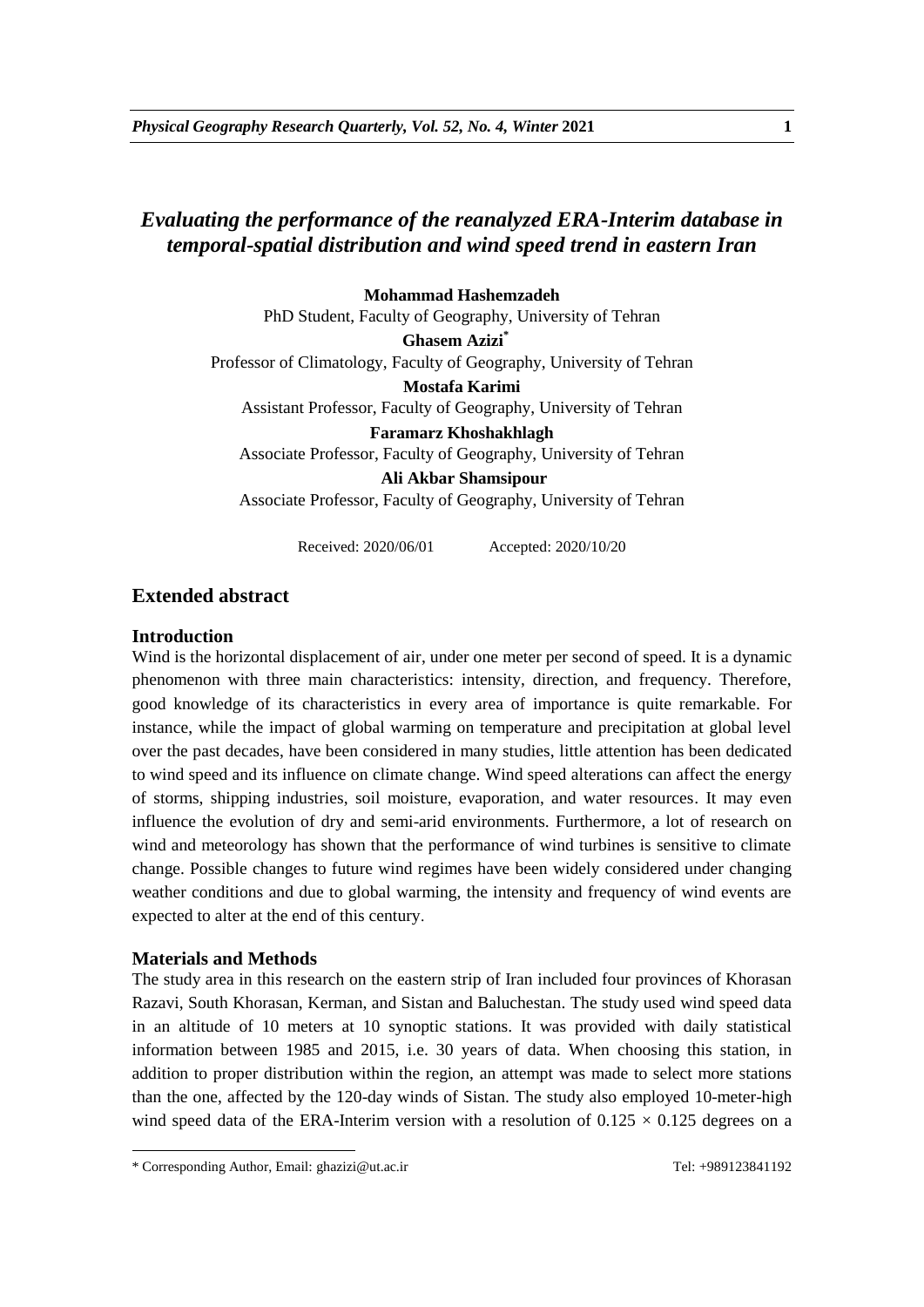# *Evaluating the performance of the reanalyzed ERA-Interim database in temporal-spatial distribution and wind speed trend in eastern Iran*

### **Mohammad Hashemzadeh**

PhD Student, Faculty of Geography, University of Tehran

**Ghasem Azizi\*** Professor of Climatology, Faculty of Geography, University of Tehran **Mostafa Karimi**

Assistant Professor, Faculty of Geography, University of Tehran

**Faramarz Khoshakhlagh**  Associate Professor, Faculty of Geography, University of Tehran

**Ali Akbar Shamsipour** Associate Professor, Faculty of Geography, University of Tehran

Received: 2020/06/01 Accepted: 2020/10/20

# **Extended abstract**

### **Introduction**

Wind is the horizontal displacement of air, under one meter per second of speed. It is a dynamic phenomenon with three main characteristics: intensity, direction, and frequency. Therefore, good knowledge of its characteristics in every area of importance is quite remarkable. For instance, while the impact of global warming on temperature and precipitation at global level over the past decades, have been considered in many studies, little attention has been dedicated to wind speed and its influence on climate change. Wind speed alterations can affect the energy of storms, shipping industries, soil moisture, evaporation, and water resources. It may even influence the evolution of dry and semi-arid environments. Furthermore, a lot of research on wind and meteorology has shown that the performance of wind turbines is sensitive to climate change. Possible changes to future wind regimes have been widely considered under changing weather conditions and due to global warming, the intensity and frequency of wind events are expected to alter at the end of this century.

# **Materials and Methods**

1

The study area in this research on the eastern strip of Iran included four provinces of Khorasan Razavi, South Khorasan, Kerman, and Sistan and Baluchestan. The study used wind speed data in an altitude of 10 meters at 10 synoptic stations. It was provided with daily statistical information between 1985 and 2015, i.e. 30 years of data. When choosing this station, in addition to proper distribution within the region, an attempt was made to select more stations than the one, affected by the 120-day winds of Sistan. The study also employed 10-meter-high wind speed data of the ERA-Interim version with a resolution of  $0.125 \times 0.125$  degrees on a

<sup>\*</sup> Corresponding Author, Email: ghazizi@ut.ac.ir Tel: +989123841192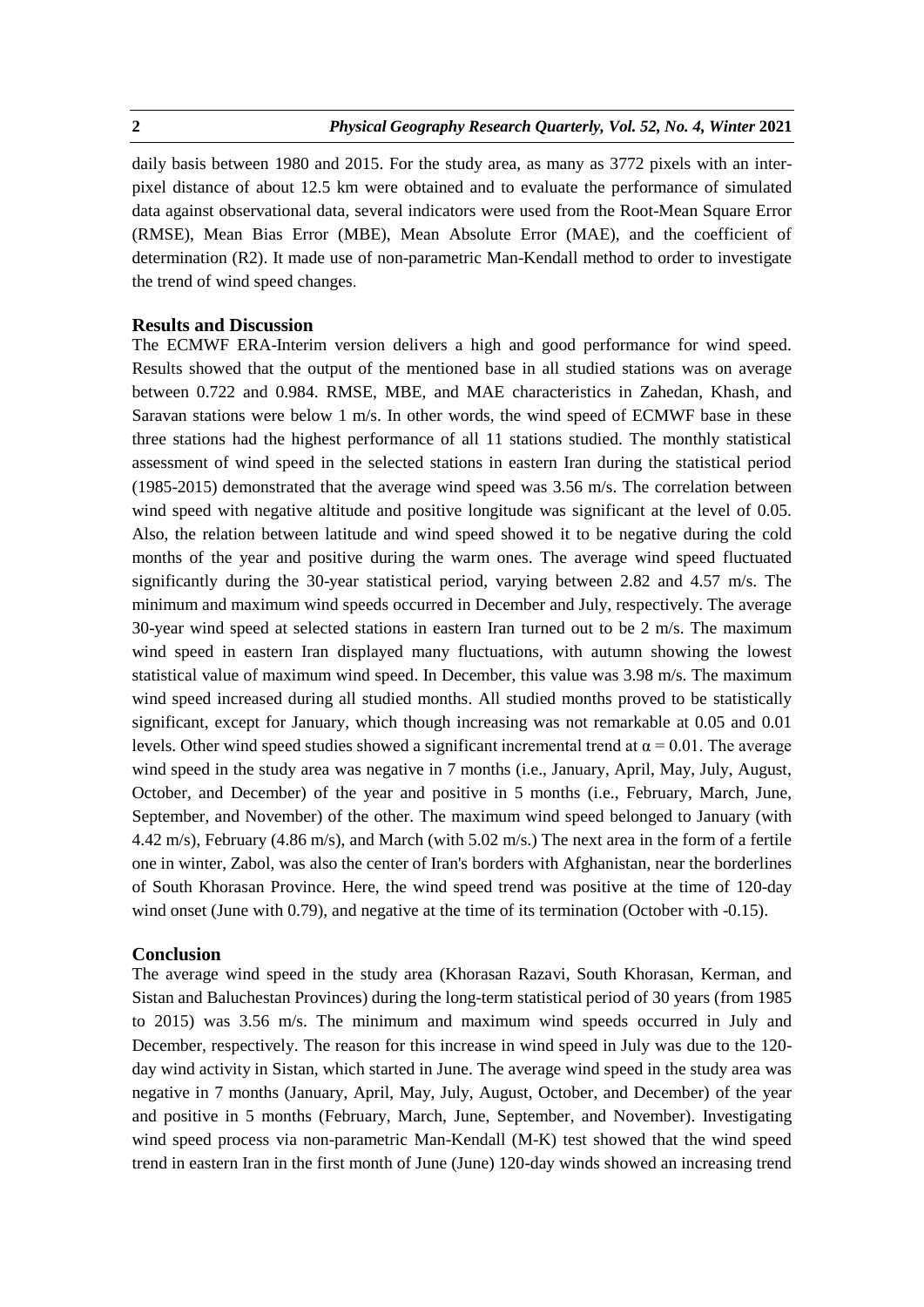daily basis between 1980 and 2015. For the study area, as many as 3772 pixels with an interpixel distance of about 12.5 km were obtained and to evaluate the performance of simulated data against observational data, several indicators were used from the Root-Mean Square Error (RMSE), Mean Bias Error (MBE), Mean Absolute Error (MAE), and the coefficient of determination (R2). It made use of non-parametric Man-Kendall method to order to investigate the trend of wind speed changes.

### **Results and Discussion**

The ECMWF ERA-Interim version delivers a high and good performance for wind speed. Results showed that the output of the mentioned base in all studied stations was on average between 0.722 and 0.984. RMSE, MBE, and MAE characteristics in Zahedan, Khash, and Saravan stations were below 1 m/s. In other words, the wind speed of ECMWF base in these three stations had the highest performance of all 11 stations studied. The monthly statistical assessment of wind speed in the selected stations in eastern Iran during the statistical period (1985-2015) demonstrated that the average wind speed was 3.56 m/s. The correlation between wind speed with negative altitude and positive longitude was significant at the level of 0.05. Also, the relation between latitude and wind speed showed it to be negative during the cold months of the year and positive during the warm ones. The average wind speed fluctuated significantly during the 30-year statistical period, varying between 2.82 and 4.57 m/s. The minimum and maximum wind speeds occurred in December and July, respectively. The average 30-year wind speed at selected stations in eastern Iran turned out to be 2 m/s. The maximum wind speed in eastern Iran displayed many fluctuations, with autumn showing the lowest statistical value of maximum wind speed. In December, this value was 3.98 m/s. The maximum wind speed increased during all studied months. All studied months proved to be statistically significant, except for January, which though increasing was not remarkable at 0.05 and 0.01 levels. Other wind speed studies showed a significant incremental trend at  $α = 0.01$ . The average wind speed in the study area was negative in 7 months (i.e., January, April, May, July, August, October, and December) of the year and positive in 5 months (i.e., February, March, June, September, and November) of the other. The maximum wind speed belonged to January (with 4.42 m/s), February (4.86 m/s), and March (with 5.02 m/s.) The next area in the form of a fertile one in winter, Zabol, was also the center of Iran's borders with Afghanistan, near the borderlines of South Khorasan Province. Here, the wind speed trend was positive at the time of 120-day wind onset (June with 0.79), and negative at the time of its termination (October with -0.15).

### **Conclusion**

The average wind speed in the study area (Khorasan Razavi, South Khorasan, Kerman, and Sistan and Baluchestan Provinces) during the long-term statistical period of 30 years (from 1985 to 2015) was 3.56 m/s. The minimum and maximum wind speeds occurred in July and December, respectively. The reason for this increase in wind speed in July was due to the 120 day wind activity in Sistan, which started in June. The average wind speed in the study area was negative in 7 months (January, April, May, July, August, October, and December) of the year and positive in 5 months (February, March, June, September, and November). Investigating wind speed process via non-parametric Man-Kendall (M-K) test showed that the wind speed trend in eastern Iran in the first month of June (June) 120-day winds showed an increasing trend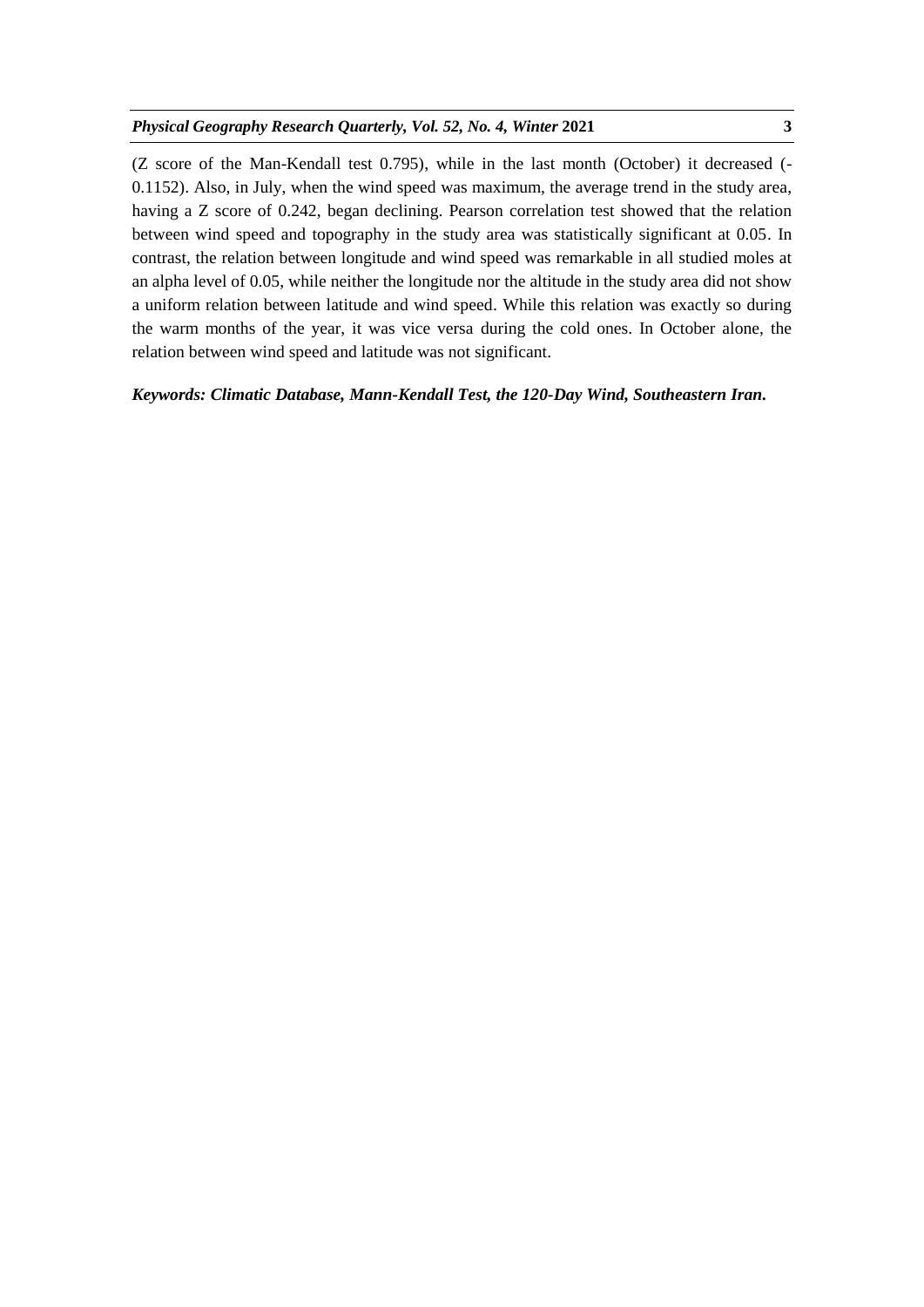(Z score of the Man-Kendall test 0.795), while in the last month (October) it decreased (- 0.1152). Also, in July, when the wind speed was maximum, the average trend in the study area, having a Z score of 0.242, began declining. Pearson correlation test showed that the relation between wind speed and topography in the study area was statistically significant at 0.05. In contrast, the relation between longitude and wind speed was remarkable in all studied moles at an alpha level of 0.05, while neither the longitude nor the altitude in the study area did not show a uniform relation between latitude and wind speed. While this relation was exactly so during the warm months of the year, it was vice versa during the cold ones. In October alone, the relation between wind speed and latitude was not significant.

*Keywords: Climatic Database, Mann-Kendall Test, the 120-Day Wind, Southeastern Iran.*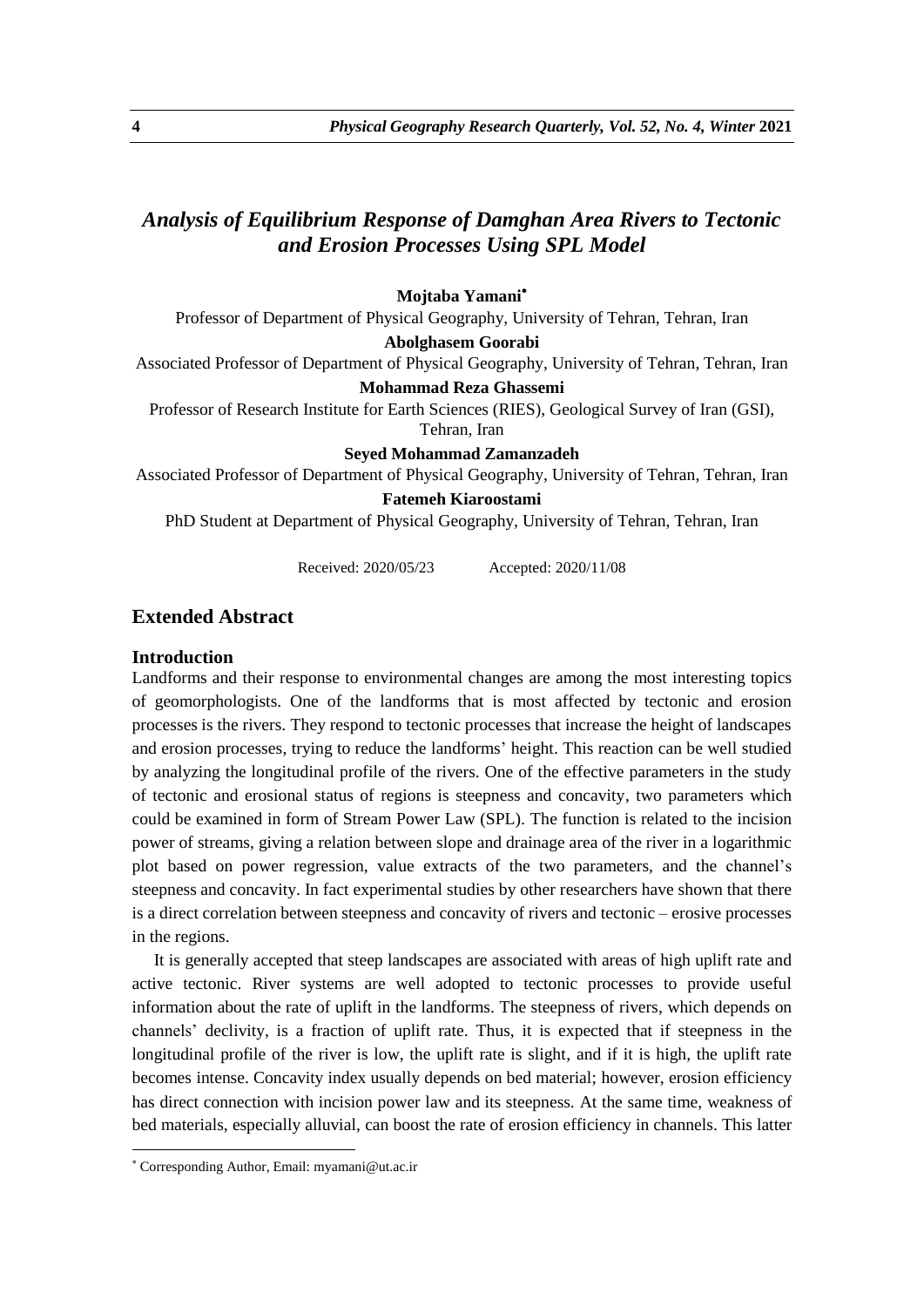# *Analysis of Equilibrium Response of Damghan Area Rivers to Tectonic and Erosion Processes Using SPL Model*

### **Mojtaba Yamani**

Professor of Department of Physical Geography, University of Tehran, Tehran, Iran

**Abolghasem Goorabi**

Associated Professor of Department of Physical Geography, University of Tehran, Tehran, Iran

#### **Mohammad Reza Ghassemi**

Professor of Research Institute for Earth Sciences (RIES), Geological Survey of Iran (GSI), Tehran, Iran

**Seyed Mohammad Zamanzadeh**

Associated Professor of Department of Physical Geography, University of Tehran, Tehran, Iran

## **Fatemeh Kiaroostami**

PhD Student at Department of Physical Geography, University of Tehran, Tehran, Iran

Received: 2020/05/23 Accepted: 2020/11/08

# **Extended Abstract**

#### **Introduction**

Landforms and their response to environmental changes are among the most interesting topics of geomorphologists. One of the landforms that is most affected by tectonic and erosion processes is the rivers. They respond to tectonic processes that increase the height of landscapes and erosion processes, trying to reduce the landforms' height. This reaction can be well studied by analyzing the longitudinal profile of the rivers. One of the effective parameters in the study of tectonic and erosional status of regions is steepness and concavity, two parameters which could be examined in form of Stream Power Law (SPL). The function is related to the incision power of streams, giving a relation between slope and drainage area of the river in a logarithmic plot based on power regression, value extracts of the two parameters, and the channel's steepness and concavity. In fact experimental studies by other researchers have shown that there is a direct correlation between steepness and concavity of rivers and tectonic – erosive processes in the regions.

It is generally accepted that steep landscapes are associated with areas of high uplift rate and active tectonic. River systems are well adopted to tectonic processes to provide useful information about the rate of uplift in the landforms. The steepness of rivers, which depends on channels' declivity, is a fraction of uplift rate. Thus, it is expected that if steepness in the longitudinal profile of the river is low, the uplift rate is slight, and if it is high, the uplift rate becomes intense. Concavity index usually depends on bed material; however, erosion efficiency has direct connection with incision power law and its steepness. At the same time, weakness of bed materials, especially alluvial, can boost the rate of erosion efficiency in channels. This latter

1

Corresponding Author, Email: myamani@ut.ac.ir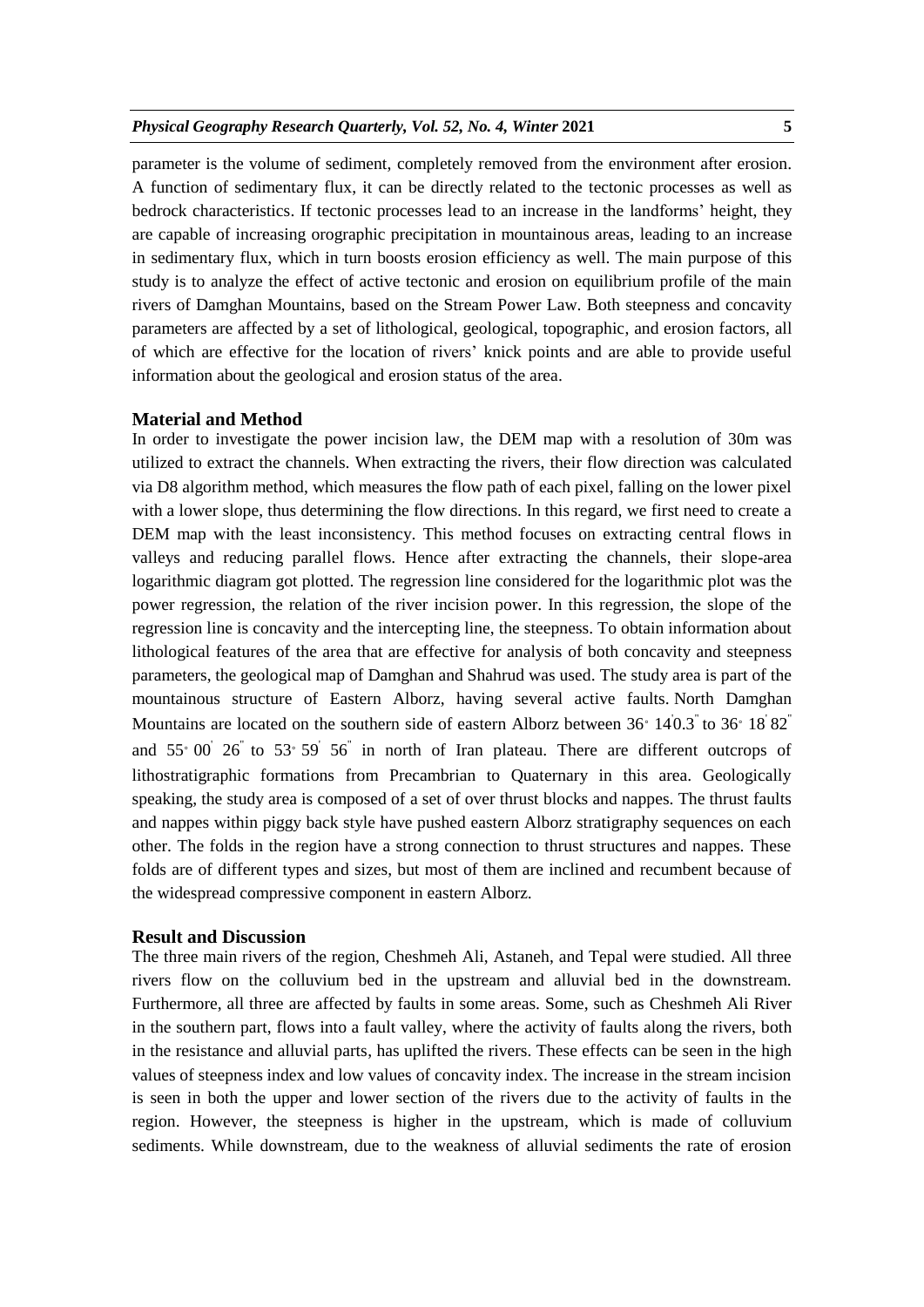#### *Physical Geography Research Quarterly, Vol. 52, No. 4, Winter* **2021 5**

parameter is the volume of sediment, completely removed from the environment after erosion. A function of sedimentary flux, it can be directly related to the tectonic processes as well as bedrock characteristics. If tectonic processes lead to an increase in the landforms' height, they are capable of increasing orographic precipitation in mountainous areas, leading to an increase in sedimentary flux, which in turn boosts erosion efficiency as well. The main purpose of this study is to analyze the effect of active tectonic and erosion on equilibrium profile of the main rivers of Damghan Mountains, based on the Stream Power Law. Both steepness and concavity parameters are affected by a set of lithological, geological, topographic, and erosion factors, all of which are effective for the location of rivers' knick points and are able to provide useful information about the geological and erosion status of the area.

#### **Material and Method**

In order to investigate the power incision law, the DEM map with a resolution of 30m was utilized to extract the channels. When extracting the rivers, their flow direction was calculated via D8 algorithm method, which measures the flow path of each pixel, falling on the lower pixel with a lower slope, thus determining the flow directions. In this regard, we first need to create a DEM map with the least inconsistency. This method focuses on extracting central flows in valleys and reducing parallel flows. Hence after extracting the channels, their slope-area logarithmic diagram got plotted. The regression line considered for the logarithmic plot was the power regression, the relation of the river incision power. In this regression, the slope of the regression line is concavity and the intercepting line, the steepness. To obtain information about lithological features of the area that are effective for analysis of both concavity and steepness parameters, the geological map of Damghan and Shahrud was used. The study area is part of the mountainous structure of Eastern Alborz, having several active faults. North Damghan Mountains are located on the southern side of eastern Alborz between  $36^{\circ}$   $14^{1}0.3^{1}$  to  $36^{\circ}$   $18^{1}82^{1}$ and  $55^{\circ}$  00<sup>'</sup>  $26^{\circ}$  to  $53^{\circ}$   $59^{\circ}$   $56^{\circ}$  in north of Iran plateau. There are different outcrops of lithostratigraphic formations from Precambrian to Quaternary in this area. Geologically speaking, the study area is composed of a set of over thrust blocks and nappes. The thrust faults and nappes within piggy back style have pushed eastern Alborz stratigraphy sequences on each other. The folds in the region have a strong connection to thrust structures and nappes. These folds are of different types and sizes, but most of them are inclined and recumbent because of the widespread compressive component in eastern Alborz.

#### **Result and Discussion**

The three main rivers of the region, Cheshmeh Ali, Astaneh, and Tepal were studied. All three rivers flow on the colluvium bed in the upstream and alluvial bed in the downstream. Furthermore, all three are affected by faults in some areas. Some, such as Cheshmeh Ali River in the southern part, flows into a fault valley, where the activity of faults along the rivers, both in the resistance and alluvial parts, has uplifted the rivers. These effects can be seen in the high values of steepness index and low values of concavity index. The increase in the stream incision is seen in both the upper and lower section of the rivers due to the activity of faults in the region. However, the steepness is higher in the upstream, which is made of colluvium sediments. While downstream, due to the weakness of alluvial sediments the rate of erosion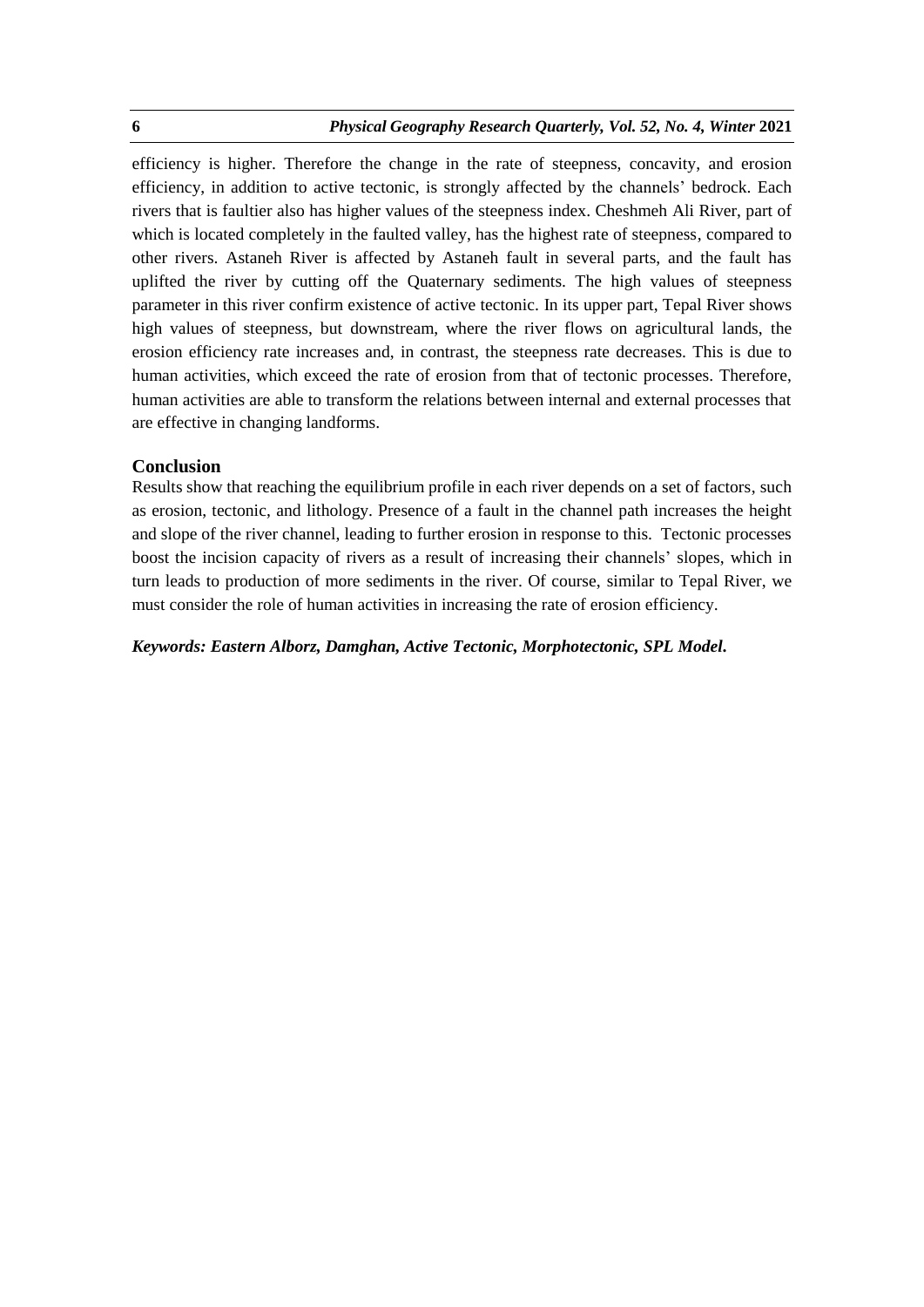efficiency is higher. Therefore the change in the rate of steepness, concavity, and erosion efficiency, in addition to active tectonic, is strongly affected by the channels' bedrock. Each rivers that is faultier also has higher values of the steepness index. Cheshmeh Ali River, part of which is located completely in the faulted valley, has the highest rate of steepness, compared to other rivers. Astaneh River is affected by Astaneh fault in several parts, and the fault has uplifted the river by cutting off the Quaternary sediments. The high values of steepness parameter in this river confirm existence of active tectonic. In its upper part, Tepal River shows high values of steepness, but downstream, where the river flows on agricultural lands, the erosion efficiency rate increases and, in contrast, the steepness rate decreases. This is due to human activities, which exceed the rate of erosion from that of tectonic processes. Therefore, human activities are able to transform the relations between internal and external processes that are effective in changing landforms.

## **Conclusion**

Results show that reaching the equilibrium profile in each river depends on a set of factors, such as erosion, tectonic, and lithology. Presence of a fault in the channel path increases the height and slope of the river channel, leading to further erosion in response to this. Tectonic processes boost the incision capacity of rivers as a result of increasing their channels' slopes, which in turn leads to production of more sediments in the river. Of course, similar to Tepal River, we must consider the role of human activities in increasing the rate of erosion efficiency.

## *Keywords: Eastern Alborz, Damghan, Active Tectonic, Morphotectonic, SPL Model.*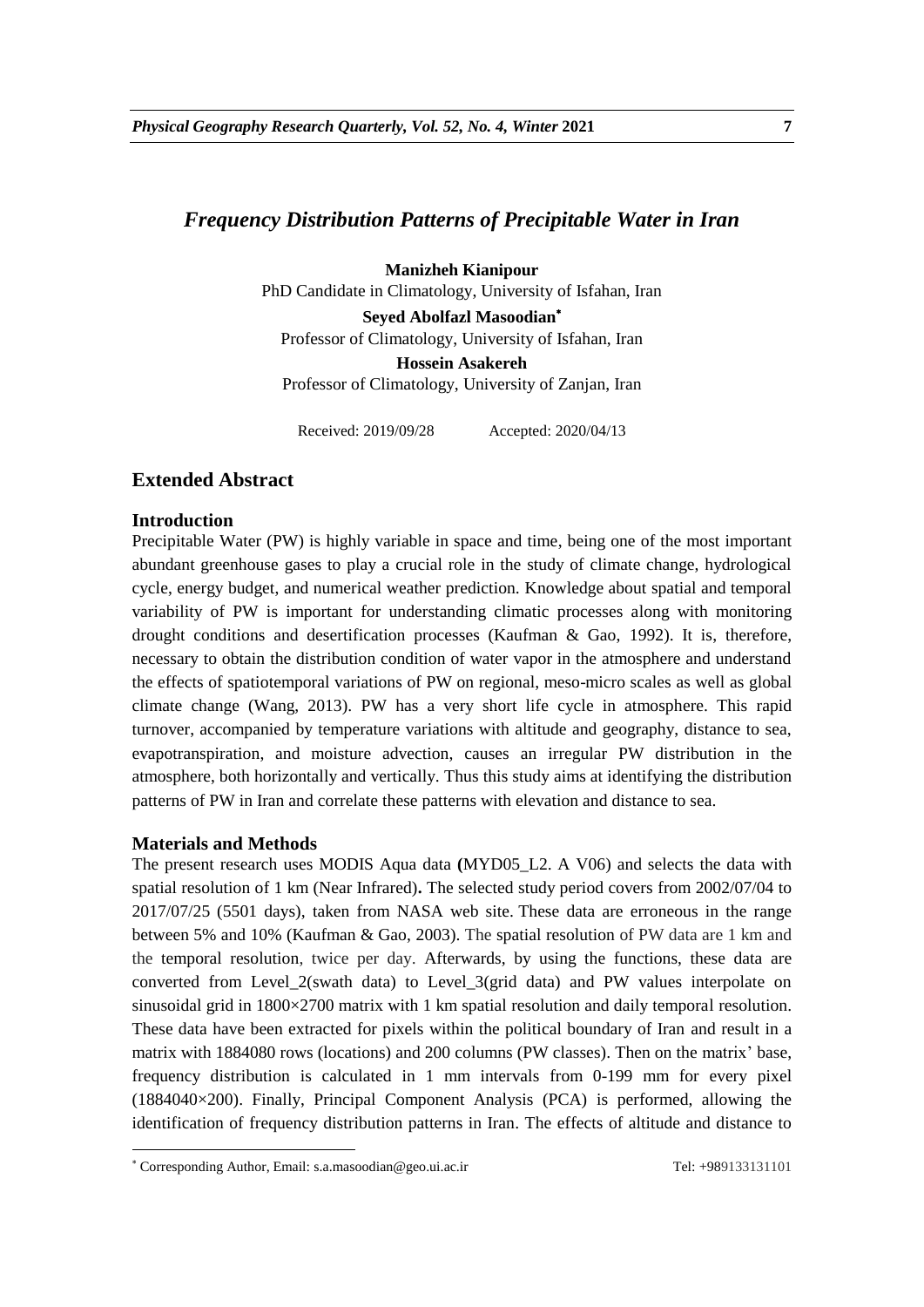# *Frequency Distribution Patterns of Precipitable Water in Iran*

**Manizheh Kianipour** 

PhD Candidate in Climatology, University of Isfahan, Iran

**Seyed Abolfazl Masoodian** Professor of Climatology, University of Isfahan, Iran **Hossein Asakereh** 

Professor of Climatology, University of Zanjan, Iran

Received: 2019/09/28 Accepted: 2020/04/13

# **Extended Abstract**

### **Introduction**

Precipitable Water (PW) is highly variable in space and time, being one of the most important abundant greenhouse gases to play a crucial role in the study of climate change, hydrological cycle, energy budget, and numerical weather prediction. Knowledge about spatial and temporal variability of PW is important for understanding climatic processes along with monitoring drought conditions and desertification processes (Kaufman & Gao, 1992). It is, therefore, necessary to obtain the distribution condition of water vapor in the atmosphere and understand the effects of spatiotemporal variations of PW on regional, meso-micro scales as well as global climate change (Wang, 2013). PW has a very short life cycle in atmosphere. This rapid turnover, accompanied by temperature variations with altitude and geography, distance to sea, evapotranspiration, and moisture advection, causes an irregular PW distribution in the atmosphere, both horizontally and vertically. Thus this study aims at identifying the distribution patterns of PW in Iran and correlate these patterns with elevation and distance to sea.

### **Materials and Methods**

1

The present research uses MODIS Aqua data **(**MYD05\_L2. A V06) and selects the data with spatial resolution of 1 km (Near Infrared)**.** The selected study period covers from 2002/07/04 to 2017/07/25 (5501 days), taken from NASA web site. These data are erroneous in the range between 5% and 10% (Kaufman & Gao, 2003). The spatial resolution of PW data are 1 km and the temporal resolution, twice per day. Afterwards, by using the functions, these data are converted from Level\_2(swath data) to Level\_3(grid data) and PW values interpolate on sinusoidal grid in 1800×2700 matrix with 1 km spatial resolution and daily temporal resolution. These data have been extracted for pixels within the political boundary of Iran and result in a matrix with 1884080 rows (locations) and 200 columns (PW classes). Then on the matrix' base, frequency distribution is calculated in 1 mm intervals from 0-199 mm for every pixel (1884040×200). Finally, Principal Component Analysis (PCA) is performed, allowing the identification of frequency distribution patterns in Iran. The effects of altitude and distance to

Corresponding Author, Email: s.a.masoodian@geo.ui.ac.ir Tel: +989133131101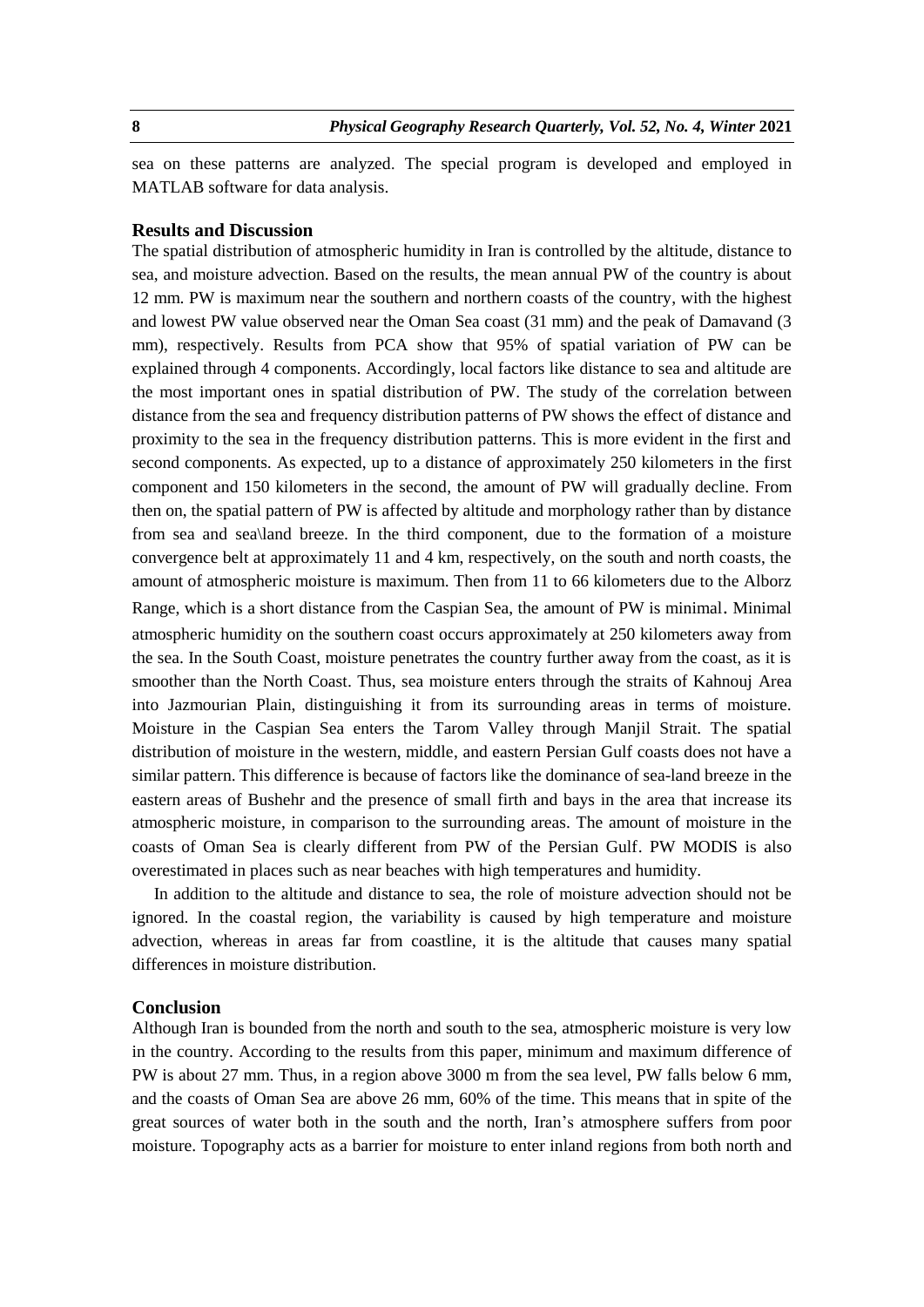sea on these patterns are analyzed. The special program is developed and employed in MATLAB software for data analysis.

### **Results and Discussion**

The spatial distribution of atmospheric humidity in Iran is controlled by the altitude, distance to sea, and moisture advection. Based on the results, the mean annual PW of the country is about 12 mm. PW is maximum near the southern and northern coasts of the country, with the highest and lowest PW value observed near the Oman Sea coast (31 mm) and the peak of Damavand (3 mm), respectively. Results from PCA show that 95% of spatial variation of PW can be explained through 4 components. Accordingly, local factors like distance to sea and altitude are the most important ones in spatial distribution of PW. The study of the correlation between distance from the sea and frequency distribution patterns of PW shows the effect of distance and proximity to the sea in the frequency distribution patterns. This is more evident in the first and second components. As expected, up to a distance of approximately 250 kilometers in the first component and 150 kilometers in the second, the amount of PW will gradually decline. From then on, the spatial pattern of PW is affected by altitude and morphology rather than by distance from sea and sea\land breeze. In the third component, due to the formation of a moisture convergence belt at approximately 11 and 4 km, respectively, on the south and north coasts, the amount of atmospheric moisture is maximum. Then from 11 to 66 kilometers due to the Alborz Range, which is a short distance from the Caspian Sea, the amount of PW is minimal. Minimal atmospheric humidity on the southern coast occurs approximately at 250 kilometers away from the sea. In the South Coast, moisture penetrates the country further away from the coast, as it is smoother than the North Coast. Thus, sea moisture enters through the straits of Kahnouj Area into Jazmourian Plain, distinguishing it from its surrounding areas in terms of moisture. Moisture in the Caspian Sea enters the Tarom Valley through Manjil Strait. The spatial distribution of moisture in the western, middle, and eastern Persian Gulf coasts does not have a similar pattern. This difference is because of factors like the dominance of sea-land breeze in the eastern areas of Bushehr and the presence of small firth and bays in the area that increase its atmospheric moisture, in comparison to the surrounding areas. The amount of moisture in the coasts of Oman Sea is clearly different from PW of the Persian Gulf. PW MODIS is also

In addition to the altitude and distance to sea, the role of moisture advection should not be ignored. In the coastal region, the variability is caused by high temperature and moisture advection, whereas in areas far from coastline, it is the altitude that causes many spatial differences in moisture distribution.

overestimated in places such as near beaches with high temperatures and humidity.

#### **Conclusion**

Although Iran is bounded from the north and south to the sea, atmospheric moisture is very low in the country. According to the results from this paper, minimum and maximum difference of PW is about 27 mm. Thus, in a region above 3000 m from the sea level, PW falls below 6 mm, and the coasts of Oman Sea are above 26 mm, 60% of the time. This means that in spite of the great sources of water both in the south and the north, Iran's atmosphere suffers from poor moisture. Topography acts as a barrier for moisture to enter inland regions from both north and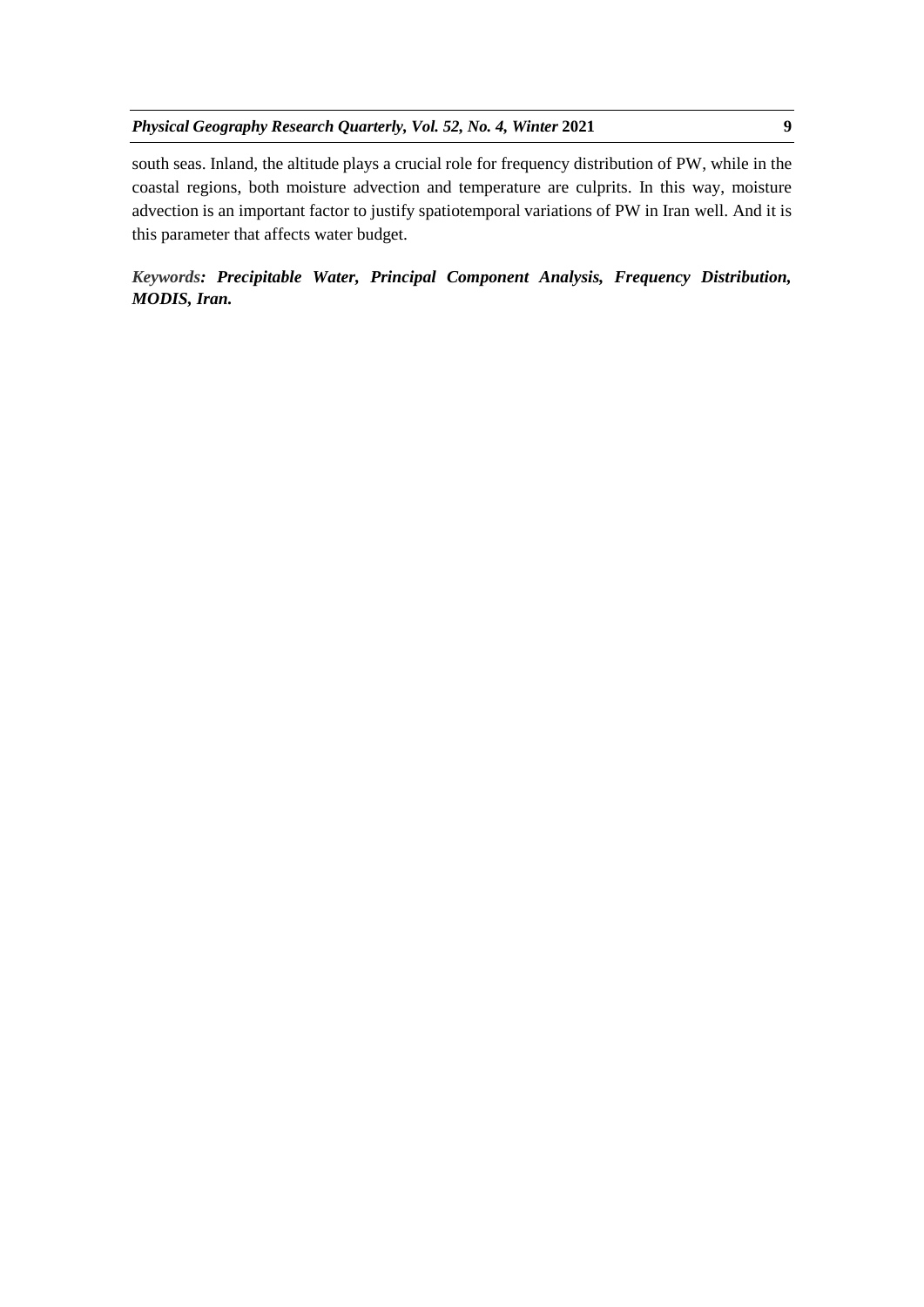south seas. Inland, the altitude plays a crucial role for frequency distribution of PW, while in the coastal regions, both moisture advection and temperature are culprits. In this way, moisture advection is an important factor to justify spatiotemporal variations of PW in Iran well. And it is this parameter that affects water budget.

*Keywords: Precipitable Water, Principal Component Analysis, Frequency Distribution, MODIS, Iran.*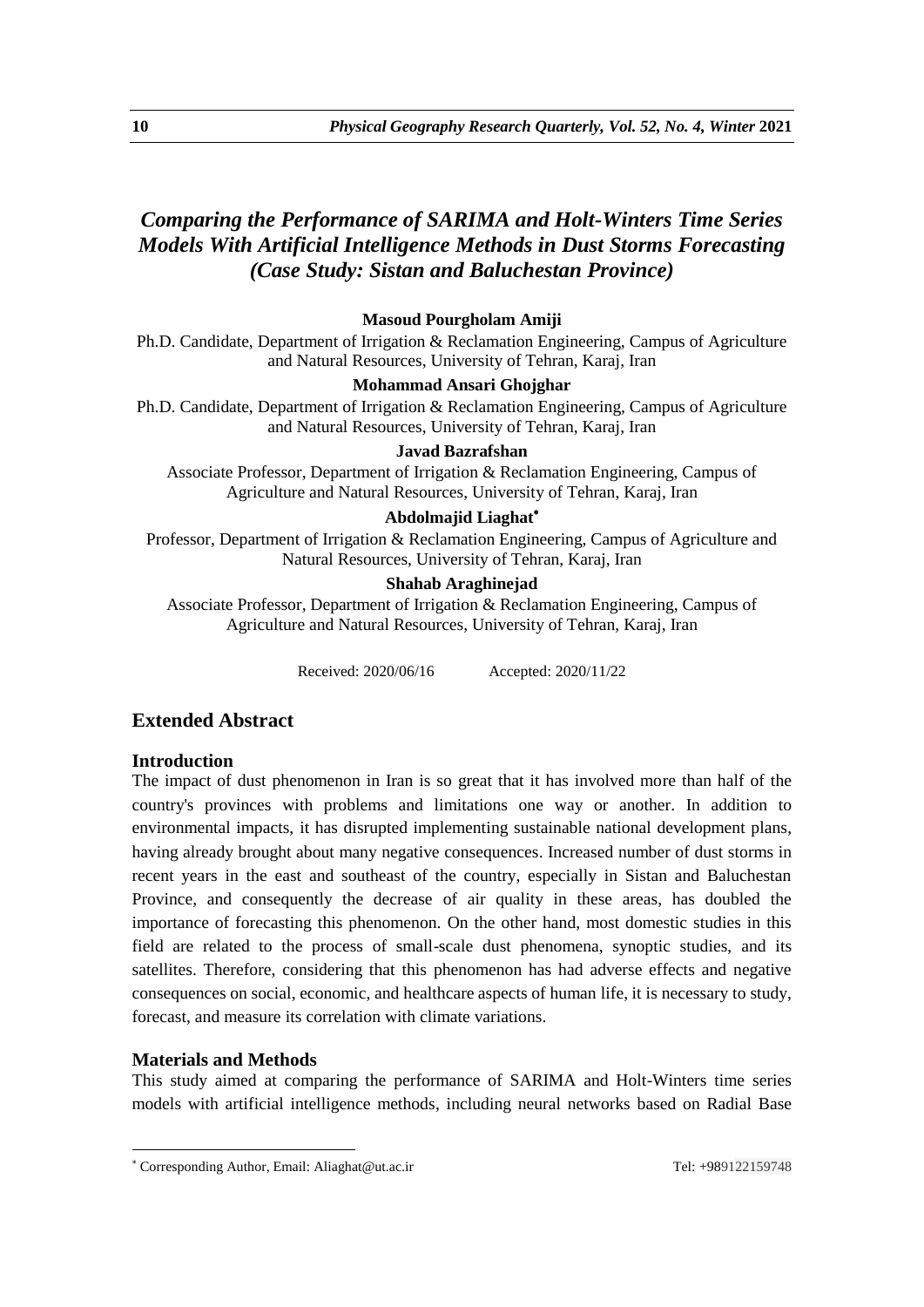# *Comparing the Performance of SARIMA and Holt-Winters Time Series Models With Artificial Intelligence Methods in Dust Storms Forecasting (Case Study: Sistan and Baluchestan Province)*

# **Masoud Pourgholam Amiji**

Ph.D. Candidate, Department of Irrigation & Reclamation Engineering, Campus of Agriculture and Natural Resources, University of Tehran, Karaj, Iran

## **Mohammad Ansari Ghojghar**

Ph.D. Candidate, Department of Irrigation & Reclamation Engineering, Campus of Agriculture and Natural Resources, University of Tehran, Karaj, Iran

# **Javad Bazrafshan**

Associate Professor, Department of Irrigation & Reclamation Engineering, Campus of Agriculture and Natural Resources, University of Tehran, Karaj, Iran

## **Abdolmajid Liaghat**

Professor, Department of Irrigation & Reclamation Engineering, Campus of Agriculture and Natural Resources, University of Tehran, Karaj, Iran

### **Shahab Araghinejad**

Associate Professor, Department of Irrigation & Reclamation Engineering, Campus of Agriculture and Natural Resources, University of Tehran, Karaj, Iran

Received: 2020/06/16 Accepted: 2020/11/22

# **Extended Abstract**

## **Introduction**

The impact of dust phenomenon in Iran is so great that it has involved more than half of the country's provinces with problems and limitations one way or another. In addition to environmental impacts, it has disrupted implementing sustainable national development plans, having already brought about many negative consequences. Increased number of dust storms in recent years in the east and southeast of the country, especially in Sistan and Baluchestan Province, and consequently the decrease of air quality in these areas, has doubled the importance of forecasting this phenomenon. On the other hand, most domestic studies in this field are related to the process of small-scale dust phenomena, synoptic studies, and its satellites. Therefore, considering that this phenomenon has had adverse effects and negative consequences on social, economic, and healthcare aspects of human life, it is necessary to study, forecast, and measure its correlation with climate variations.

## **Materials and Methods**

1

This study aimed at comparing the performance of SARIMA and Holt-Winters time series models with artificial intelligence methods, including neural networks based on Radial Base

Corresponding Author, Email: Aliaghat@ut.ac.ir Tel: +989122159748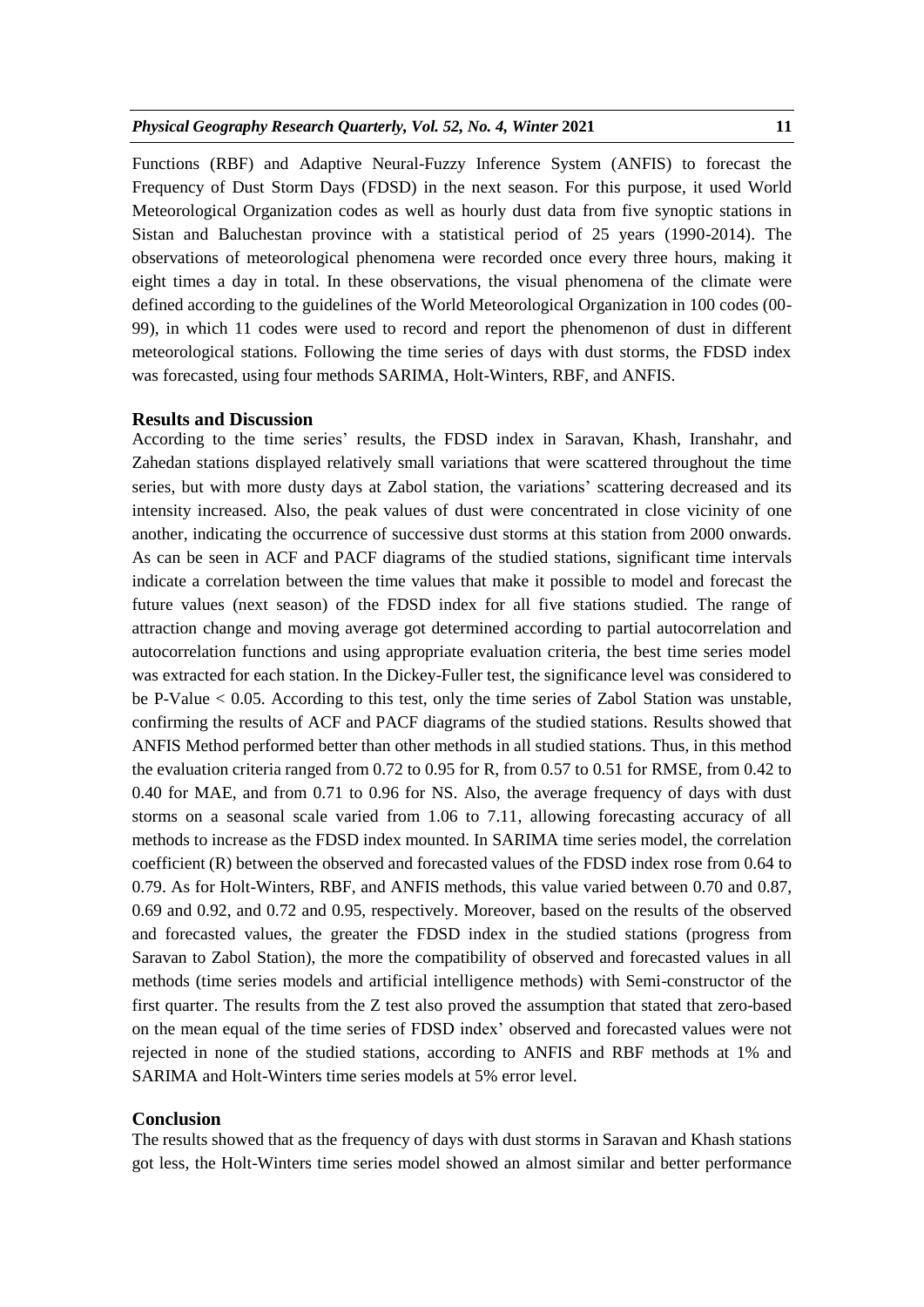Functions (RBF) and Adaptive Neural-Fuzzy Inference System (ANFIS) to forecast the Frequency of Dust Storm Days (FDSD) in the next season. For this purpose, it used World Meteorological Organization codes as well as hourly dust data from five synoptic stations in Sistan and Baluchestan province with a statistical period of 25 years (1990-2014). The observations of meteorological phenomena were recorded once every three hours, making it eight times a day in total. In these observations, the visual phenomena of the climate were defined according to the guidelines of the World Meteorological Organization in 100 codes (00- 99), in which 11 codes were used to record and report the phenomenon of dust in different meteorological stations. Following the time series of days with dust storms, the FDSD index was forecasted, using four methods SARIMA, Holt-Winters, RBF, and ANFIS.

### **Results and Discussion**

According to the time series' results, the FDSD index in Saravan, Khash, Iranshahr, and Zahedan stations displayed relatively small variations that were scattered throughout the time series, but with more dusty days at Zabol station, the variations' scattering decreased and its intensity increased. Also, the peak values of dust were concentrated in close vicinity of one another, indicating the occurrence of successive dust storms at this station from 2000 onwards. As can be seen in ACF and PACF diagrams of the studied stations, significant time intervals indicate a correlation between the time values that make it possible to model and forecast the future values (next season) of the FDSD index for all five stations studied. The range of attraction change and moving average got determined according to partial autocorrelation and autocorrelation functions and using appropriate evaluation criteria, the best time series model was extracted for each station. In the Dickey-Fuller test, the significance level was considered to be P-Value < 0.05. According to this test, only the time series of Zabol Station was unstable, confirming the results of ACF and PACF diagrams of the studied stations. Results showed that ANFIS Method performed better than other methods in all studied stations. Thus, in this method the evaluation criteria ranged from 0.72 to 0.95 for R, from 0.57 to 0.51 for RMSE, from 0.42 to 0.40 for MAE, and from 0.71 to 0.96 for NS. Also, the average frequency of days with dust storms on a seasonal scale varied from 1.06 to 7.11, allowing forecasting accuracy of all methods to increase as the FDSD index mounted. In SARIMA time series model, the correlation coefficient (R) between the observed and forecasted values of the FDSD index rose from 0.64 to 0.79. As for Holt-Winters, RBF, and ANFIS methods, this value varied between 0.70 and 0.87, 0.69 and 0.92, and 0.72 and 0.95, respectively. Moreover, based on the results of the observed and forecasted values, the greater the FDSD index in the studied stations (progress from Saravan to Zabol Station), the more the compatibility of observed and forecasted values in all methods (time series models and artificial intelligence methods) with Semi-constructor of the first quarter. The results from the Z test also proved the assumption that stated that zero-based on the mean equal of the time series of FDSD index' observed and forecasted values were not rejected in none of the studied stations, according to ANFIS and RBF methods at 1% and SARIMA and Holt-Winters time series models at 5% error level.

### **Conclusion**

The results showed that as the frequency of days with dust storms in Saravan and Khash stations got less, the Holt-Winters time series model showed an almost similar and better performance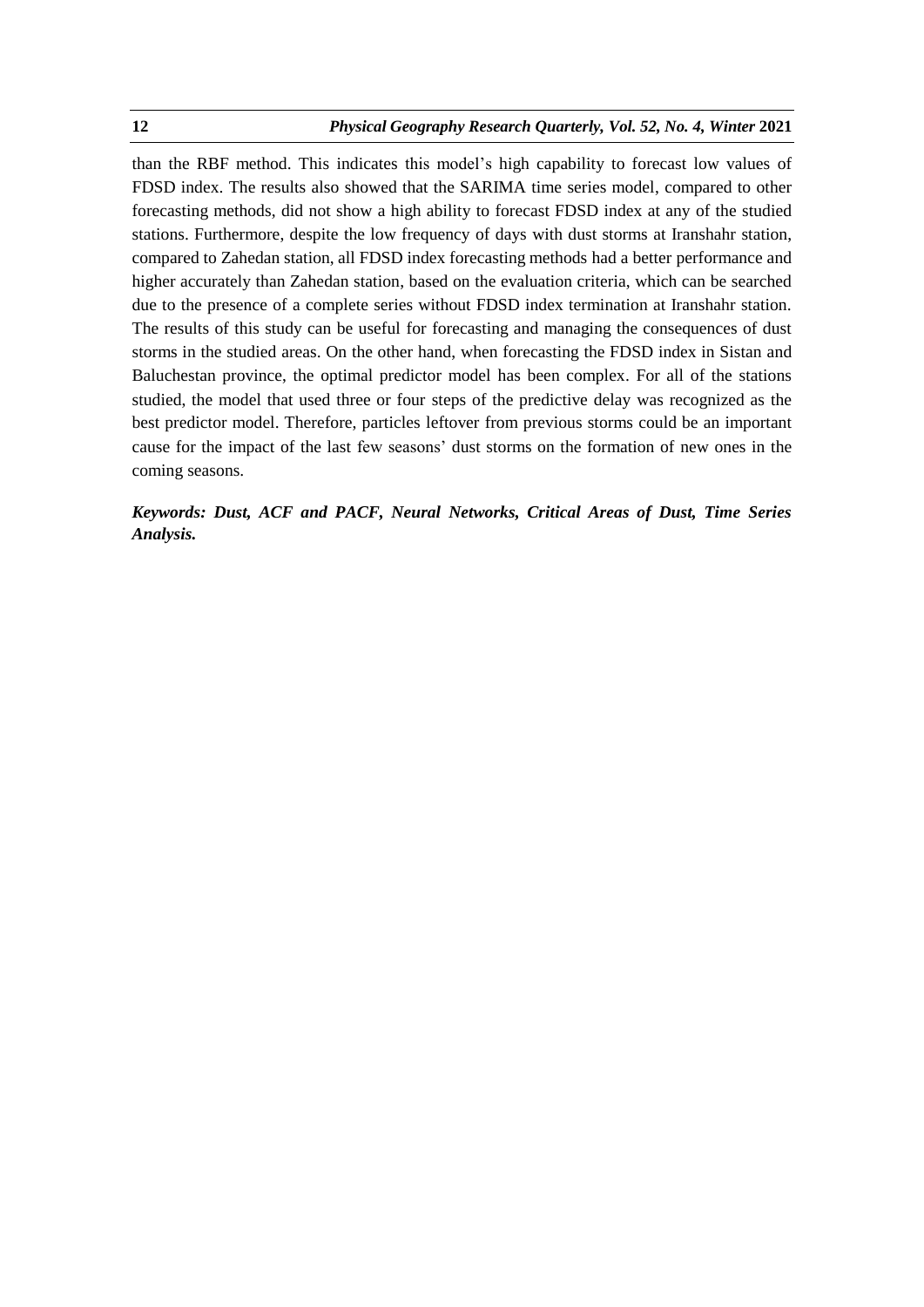than the RBF method. This indicates this model's high capability to forecast low values of FDSD index. The results also showed that the SARIMA time series model, compared to other forecasting methods, did not show a high ability to forecast FDSD index at any of the studied stations. Furthermore, despite the low frequency of days with dust storms at Iranshahr station, compared to Zahedan station, all FDSD index forecasting methods had a better performance and higher accurately than Zahedan station, based on the evaluation criteria, which can be searched due to the presence of a complete series without FDSD index termination at Iranshahr station. The results of this study can be useful for forecasting and managing the consequences of dust storms in the studied areas. On the other hand, when forecasting the FDSD index in Sistan and Baluchestan province, the optimal predictor model has been complex. For all of the stations studied, the model that used three or four steps of the predictive delay was recognized as the best predictor model. Therefore, particles leftover from previous storms could be an important cause for the impact of the last few seasons' dust storms on the formation of new ones in the coming seasons.

# *Keywords: Dust, ACF and PACF, Neural Networks, Critical Areas of Dust, Time Series Analysis.*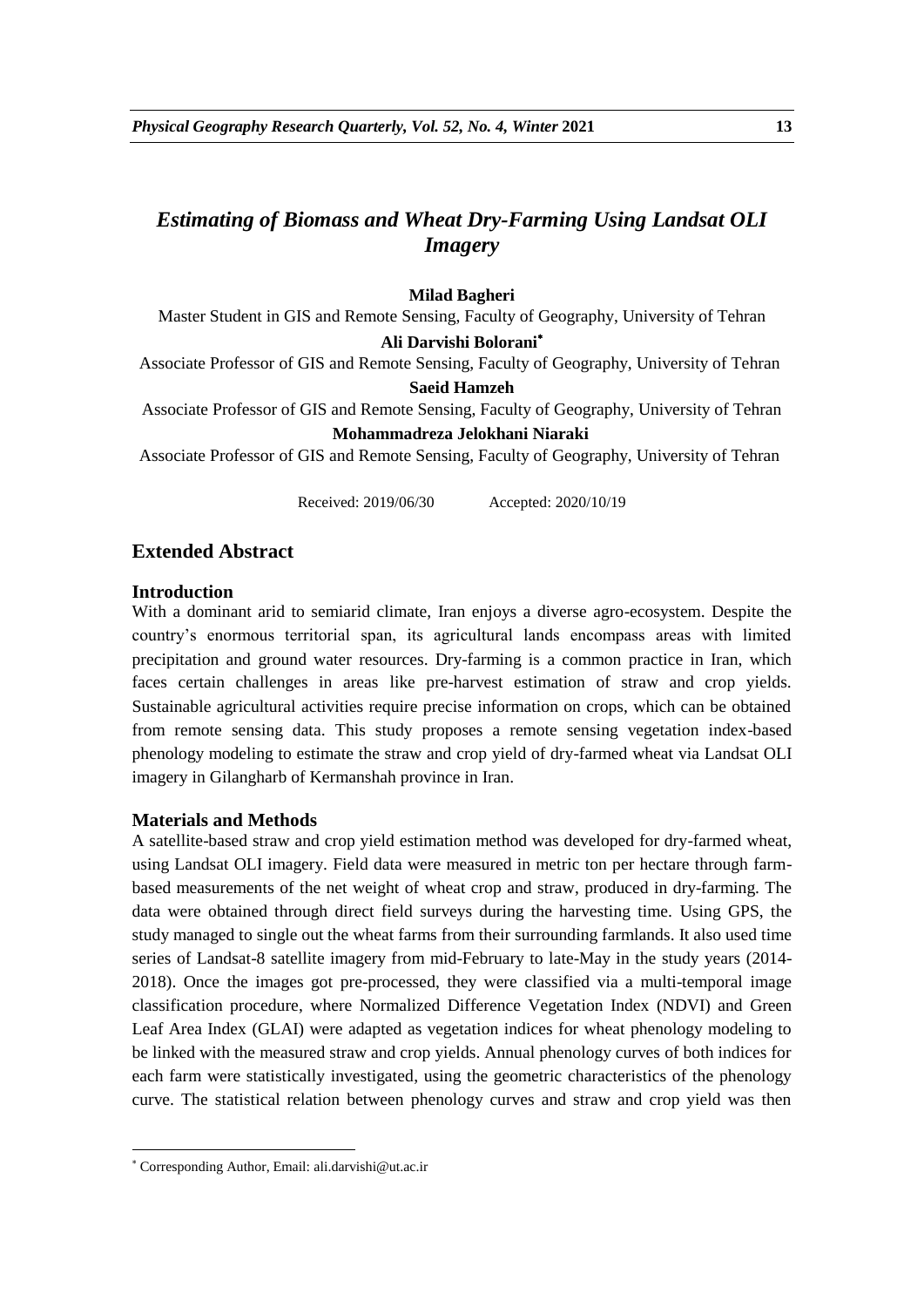# *Estimating of Biomass and Wheat Dry-Farming Using Landsat OLI Imagery*

### **Milad Bagheri**

Master Student in GIS and Remote Sensing, Faculty of Geography, University of Tehran

### **Ali Darvishi Bolorani**

Associate Professor of GIS and Remote Sensing, Faculty of Geography, University of Tehran **Saeid Hamzeh**

# Associate Professor of GIS and Remote Sensing, Faculty of Geography, University of Tehran

### **Mohammadreza Jelokhani Niaraki**

Associate Professor of GIS and Remote Sensing, Faculty of Geography, University of Tehran

Received: 2019/06/30 Accepted: 2020/10/19

## **Extended Abstract**

### **Introduction**

With a dominant arid to semiarid climate, Iran enjoys a diverse agro-ecosystem. Despite the country's enormous territorial span, its agricultural lands encompass areas with limited precipitation and ground water resources. Dry-farming is a common practice in Iran, which faces certain challenges in areas like pre-harvest estimation of straw and crop yields. Sustainable agricultural activities require precise information on crops, which can be obtained from remote sensing data. This study proposes a remote sensing vegetation index-based phenology modeling to estimate the straw and crop yield of dry-farmed wheat via Landsat OLI imagery in Gilangharb of Kermanshah province in Iran.

### **Materials and Methods**

A satellite-based straw and crop yield estimation method was developed for dry-farmed wheat, using Landsat OLI imagery. Field data were measured in metric ton per hectare through farmbased measurements of the net weight of wheat crop and straw, produced in dry-farming. The data were obtained through direct field surveys during the harvesting time. Using GPS, the study managed to single out the wheat farms from their surrounding farmlands. It also used time series of Landsat-8 satellite imagery from mid-February to late-May in the study years (2014- 2018). Once the images got pre-processed, they were classified via a multi-temporal image classification procedure, where Normalized Difference Vegetation Index (NDVI) and Green Leaf Area Index (GLAI) were adapted as vegetation indices for wheat phenology modeling to be linked with the measured straw and crop yields. Annual phenology curves of both indices for each farm were statistically investigated, using the geometric characteristics of the phenology curve. The statistical relation between phenology curves and straw and crop yield was then

1

Corresponding Author, Email: ali.darvishi@ut.ac.ir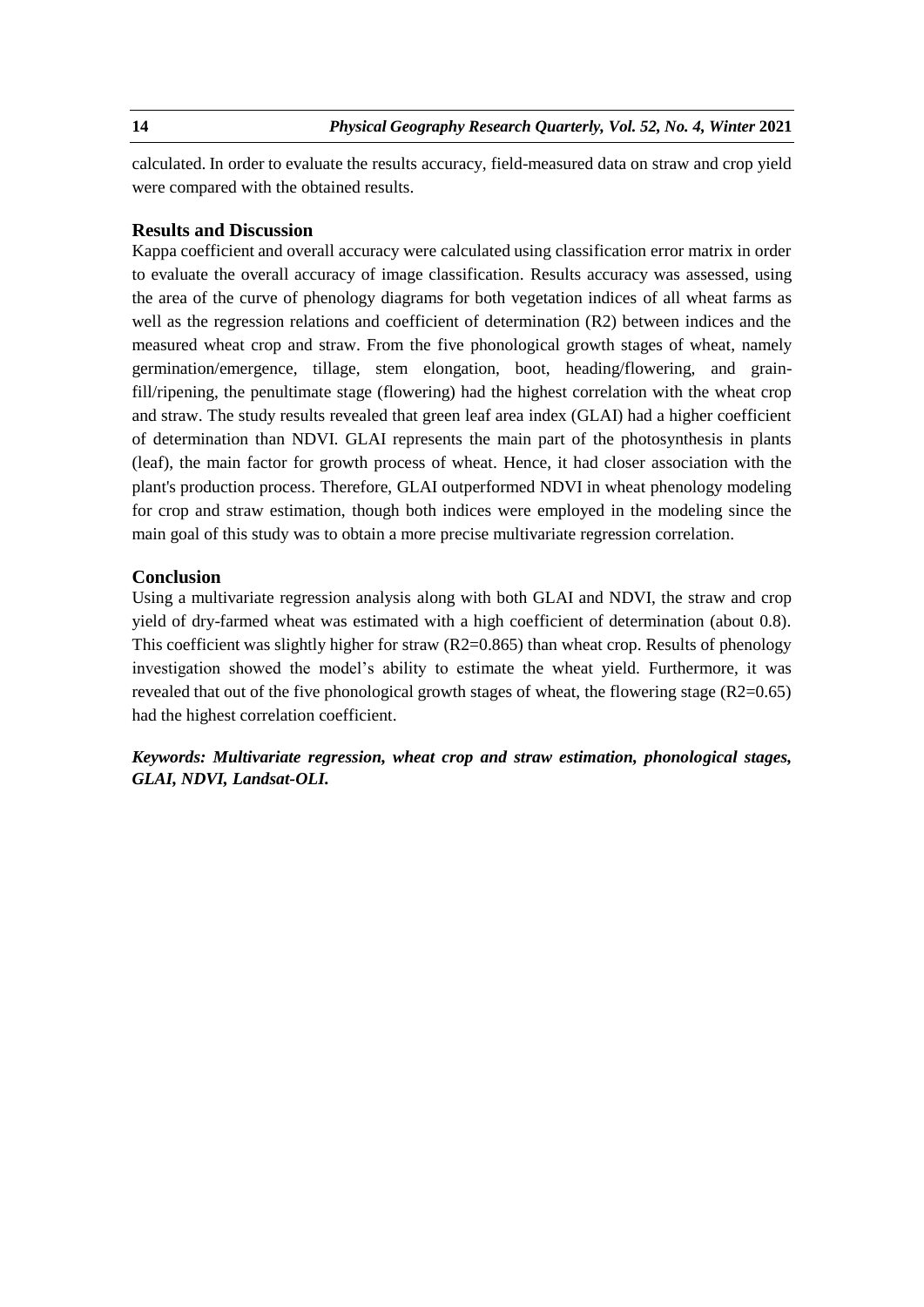calculated. In order to evaluate the results accuracy, field-measured data on straw and crop yield were compared with the obtained results.

### **Results and Discussion**

Kappa coefficient and overall accuracy were calculated using classification error matrix in order to evaluate the overall accuracy of image classification. Results accuracy was assessed, using the area of the curve of phenology diagrams for both vegetation indices of all wheat farms as well as the regression relations and coefficient of determination (R2) between indices and the measured wheat crop and straw. From the five phonological growth stages of wheat, namely germination/emergence, tillage, stem elongation, boot, heading/flowering, and grainfill/ripening, the penultimate stage (flowering) had the highest correlation with the wheat crop and straw. The study results revealed that green leaf area index (GLAI) had a higher coefficient of determination than NDVI. GLAI represents the main part of the photosynthesis in plants (leaf), the main factor for growth process of wheat. Hence, it had closer association with the plant's production process. Therefore, GLAI outperformed NDVI in wheat phenology modeling for crop and straw estimation, though both indices were employed in the modeling since the main goal of this study was to obtain a more precise multivariate regression correlation.

# **Conclusion**

Using a multivariate regression analysis along with both GLAI and NDVI, the straw and crop yield of dry-farmed wheat was estimated with a high coefficient of determination (about 0.8). This coefficient was slightly higher for straw  $(R2=0.865)$  than wheat crop. Results of phenology investigation showed the model's ability to estimate the wheat yield. Furthermore, it was revealed that out of the five phonological growth stages of wheat, the flowering stage  $(R2=0.65)$ had the highest correlation coefficient.

*Keywords: Multivariate regression, wheat crop and straw estimation, phonological stages, GLAI, NDVI, Landsat-OLI.*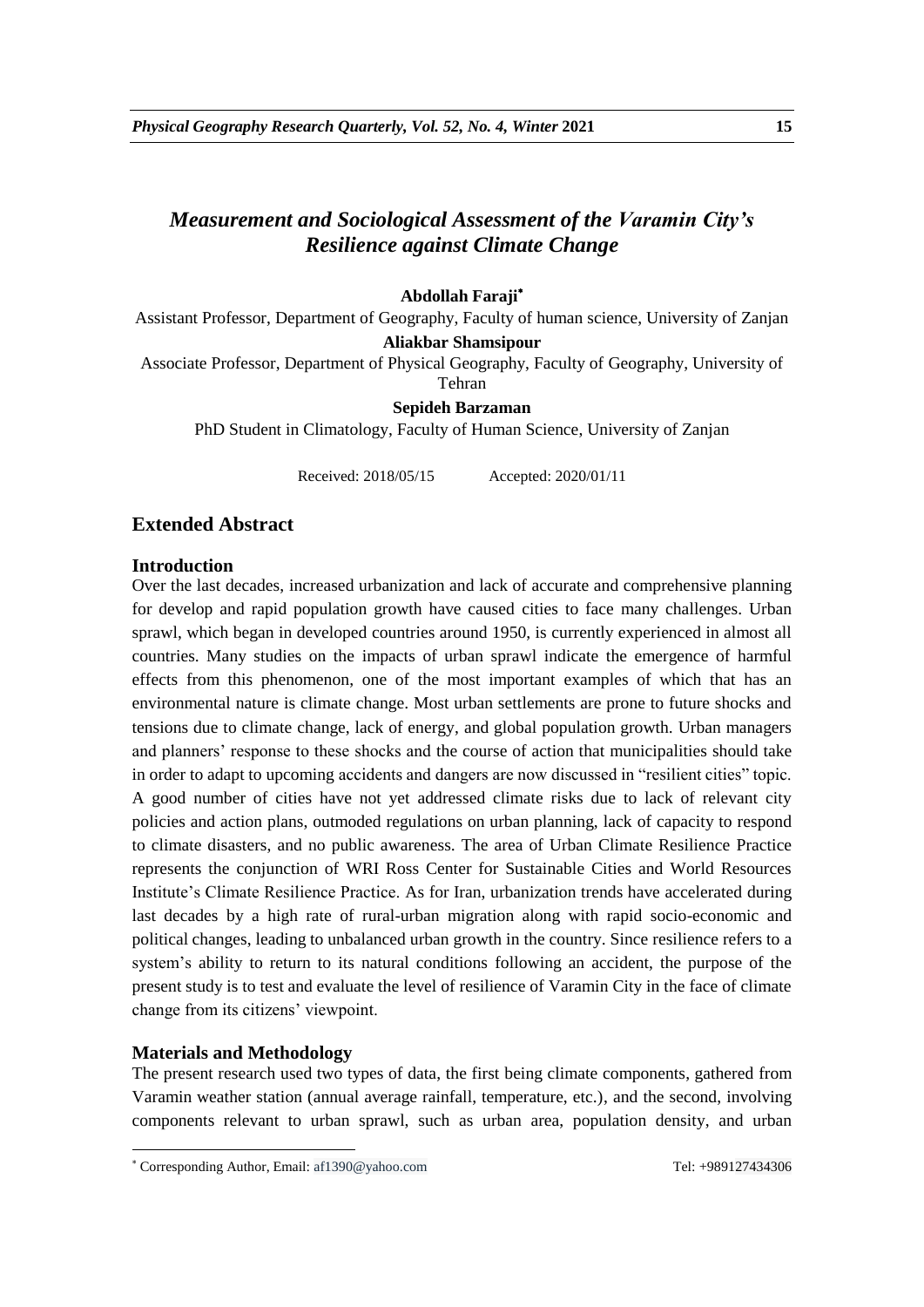# *Measurement and Sociological Assessment of the Varamin City's Resilience against Climate Change*

# **Abdollah Faraji**

Assistant Professor, Department of Geography, Faculty of human science, University of Zanjan

#### **Aliakbar Shamsipour**

Associate Professor, Department of Physical Geography, Faculty of Geography, University of Tehran

### **Sepideh Barzaman**

PhD Student in Climatology, Faculty of Human Science, University of Zanjan

Received: 2018/05/15 Accepted: 2020/01/11

# **Extended Abstract**

### **Introduction**

Over the last decades, increased urbanization and lack of accurate and comprehensive planning for develop and rapid population growth have caused cities to face many challenges. Urban sprawl, which began in developed countries around 1950, is currently experienced in almost all countries. Many studies on the impacts of urban sprawl indicate the emergence of harmful effects from this phenomenon, one of the most important examples of which that has an environmental nature is climate change. Most urban settlements are prone to future shocks and tensions due to climate change, lack of energy, and global population growth. Urban managers and planners' response to these shocks and the course of action that municipalities should take in order to adapt to upcoming accidents and dangers are now discussed in "resilient cities" topic. A good number of cities have not yet addressed climate risks due to lack of relevant city policies and action plans, outmoded regulations on urban planning, lack of capacity to respond to climate disasters, and no public awareness. The area of Urban Climate Resilience Practice represents the conjunction of WRI Ross Center for Sustainable Cities and World Resources Institute's Climate Resilience Practice. As for Iran, urbanization trends have accelerated during last decades by a high rate of rural-urban migration along with rapid socio-economic and political changes, leading to unbalanced urban growth in the country. Since resilience refers to a system's ability to return to its natural conditions following an accident, the purpose of the present study is to test and evaluate the level of resilience of Varamin City in the face of climate change from its citizens' viewpoint.

### **Materials and Methodology**

1

The present research used two types of data, the first being climate components, gathered from Varamin weather station (annual average rainfall, temperature, etc.), and the second, involving components relevant to urban sprawl, such as urban area, population density, and urban

Corresponding Author, Email: af1390@yahoo.com Tel: +989127434306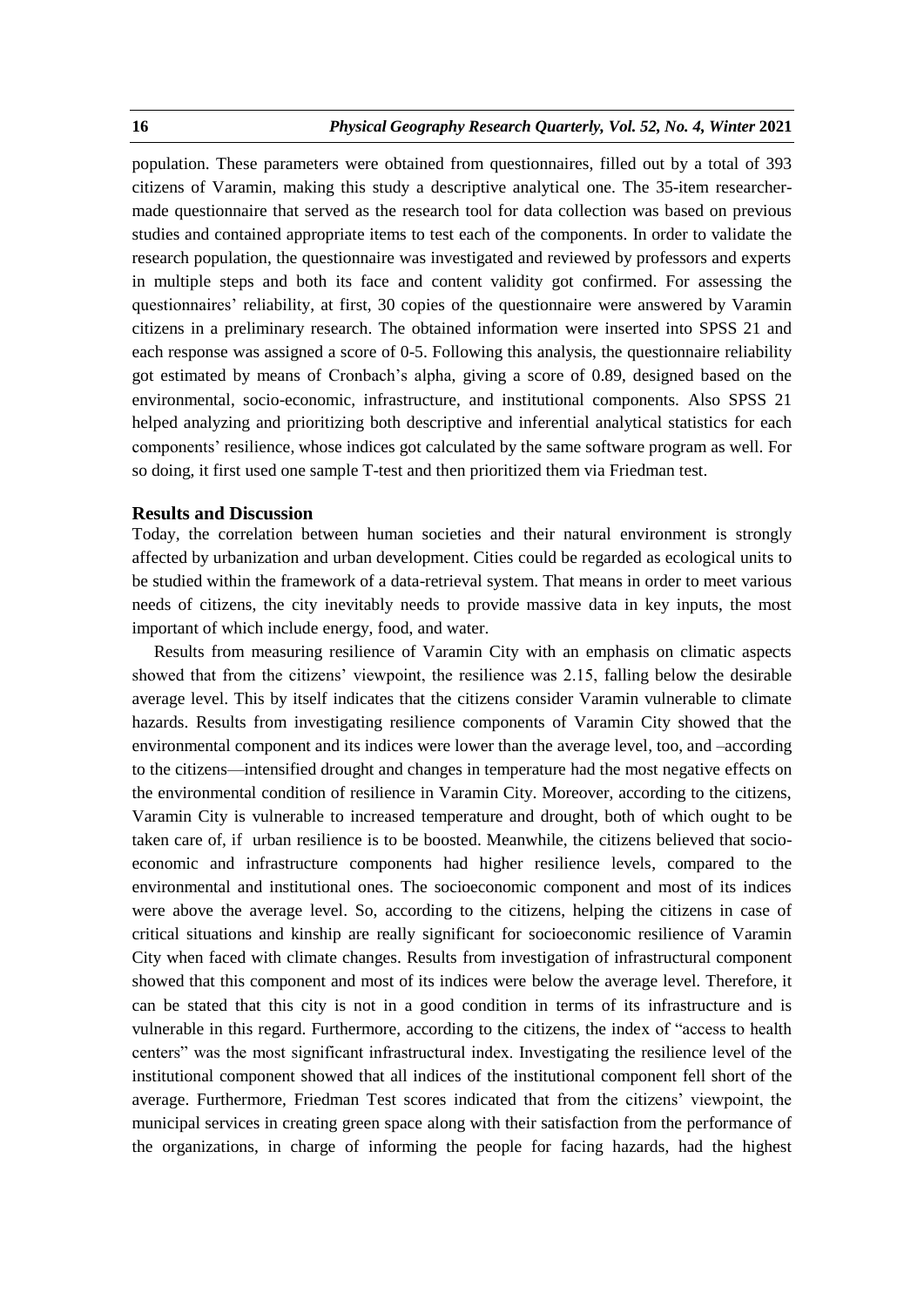population. These parameters were obtained from questionnaires, filled out by a total of 393 citizens of Varamin, making this study a descriptive analytical one. The 35-item researchermade questionnaire that served as the research tool for data collection was based on previous studies and contained appropriate items to test each of the components. In order to validate the research population, the questionnaire was investigated and reviewed by professors and experts in multiple steps and both its face and content validity got confirmed. For assessing the questionnaires' reliability, at first, 30 copies of the questionnaire were answered by Varamin citizens in a preliminary research. The obtained information were inserted into SPSS 21 and each response was assigned a score of 0-5. Following this analysis, the questionnaire reliability got estimated by means of Cronbach's alpha, giving a score of 0.89, designed based on the environmental, socio-economic, infrastructure, and institutional components. Also SPSS 21 helped analyzing and prioritizing both descriptive and inferential analytical statistics for each components' resilience, whose indices got calculated by the same software program as well. For so doing, it first used one sample T-test and then prioritized them via Friedman test.

### **Results and Discussion**

Today, the correlation between human societies and their natural environment is strongly affected by urbanization and urban development. Cities could be regarded as ecological units to be studied within the framework of a data-retrieval system. That means in order to meet various needs of citizens, the city inevitably needs to provide massive data in key inputs, the most important of which include energy, food, and water.

Results from measuring resilience of Varamin City with an emphasis on climatic aspects showed that from the citizens' viewpoint, the resilience was 2.15, falling below the desirable average level. This by itself indicates that the citizens consider Varamin vulnerable to climate hazards. Results from investigating resilience components of Varamin City showed that the environmental component and its indices were lower than the average level, too, and –according to the citizens—intensified drought and changes in temperature had the most negative effects on the environmental condition of resilience in Varamin City. Moreover, according to the citizens, Varamin City is vulnerable to increased temperature and drought, both of which ought to be taken care of, if urban resilience is to be boosted. Meanwhile, the citizens believed that socioeconomic and infrastructure components had higher resilience levels, compared to the environmental and institutional ones. The socioeconomic component and most of its indices were above the average level. So, according to the citizens, helping the citizens in case of critical situations and kinship are really significant for socioeconomic resilience of Varamin City when faced with climate changes. Results from investigation of infrastructural component showed that this component and most of its indices were below the average level. Therefore, it can be stated that this city is not in a good condition in terms of its infrastructure and is vulnerable in this regard. Furthermore, according to the citizens, the index of "access to health centers" was the most significant infrastructural index. Investigating the resilience level of the institutional component showed that all indices of the institutional component fell short of the average. Furthermore, Friedman Test scores indicated that from the citizens' viewpoint, the municipal services in creating green space along with their satisfaction from the performance of the organizations, in charge of informing the people for facing hazards, had the highest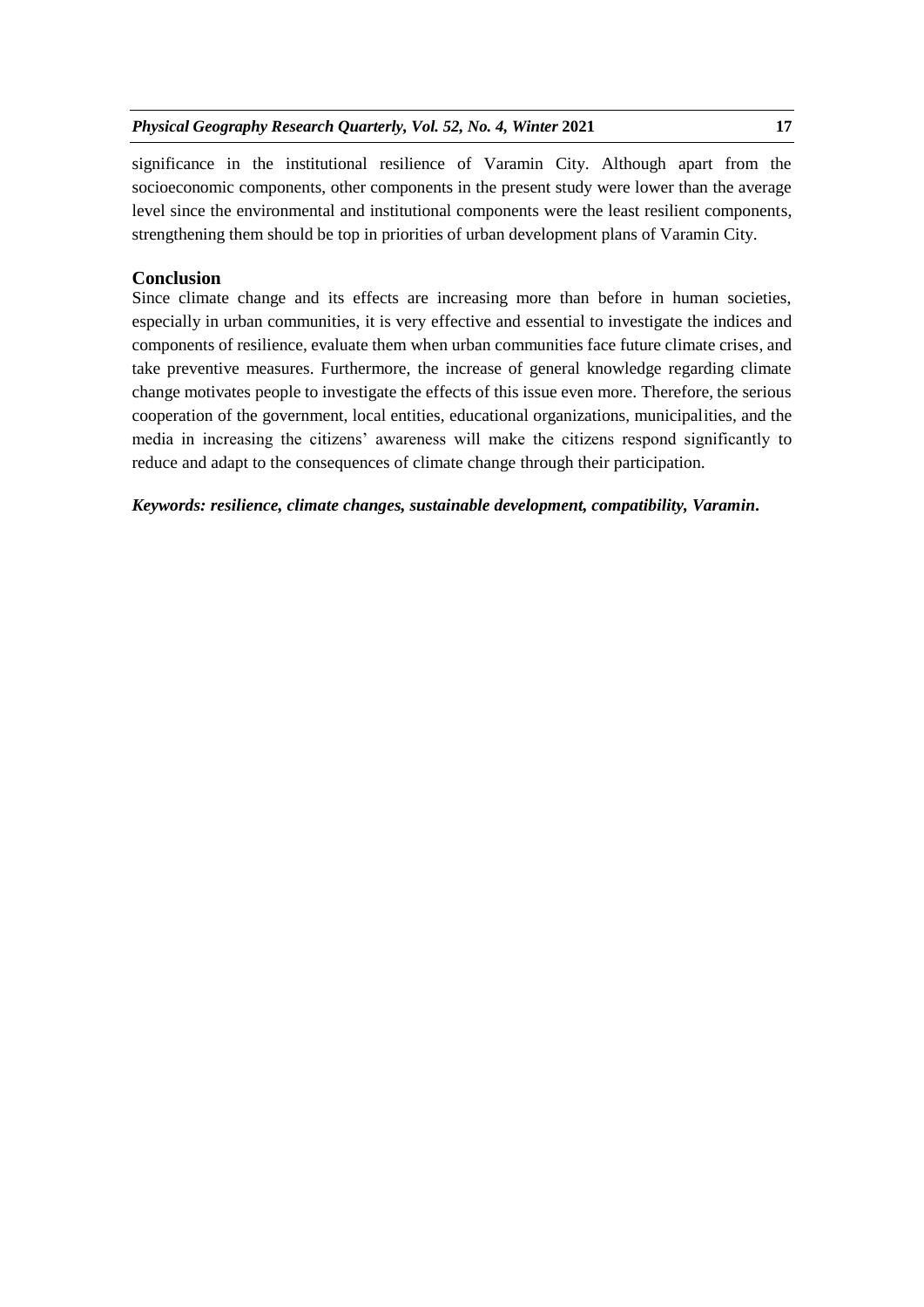significance in the institutional resilience of Varamin City. Although apart from the socioeconomic components, other components in the present study were lower than the average level since the environmental and institutional components were the least resilient components, strengthening them should be top in priorities of urban development plans of Varamin City.

# **Conclusion**

Since climate change and its effects are increasing more than before in human societies, especially in urban communities, it is very effective and essential to investigate the indices and components of resilience, evaluate them when urban communities face future climate crises, and take preventive measures. Furthermore, the increase of general knowledge regarding climate change motivates people to investigate the effects of this issue even more. Therefore, the serious cooperation of the government, local entities, educational organizations, municipalities, and the media in increasing the citizens' awareness will make the citizens respond significantly to reduce and adapt to the consequences of climate change through their participation.

*Keywords: resilience, climate changes, sustainable development, compatibility, Varamin.*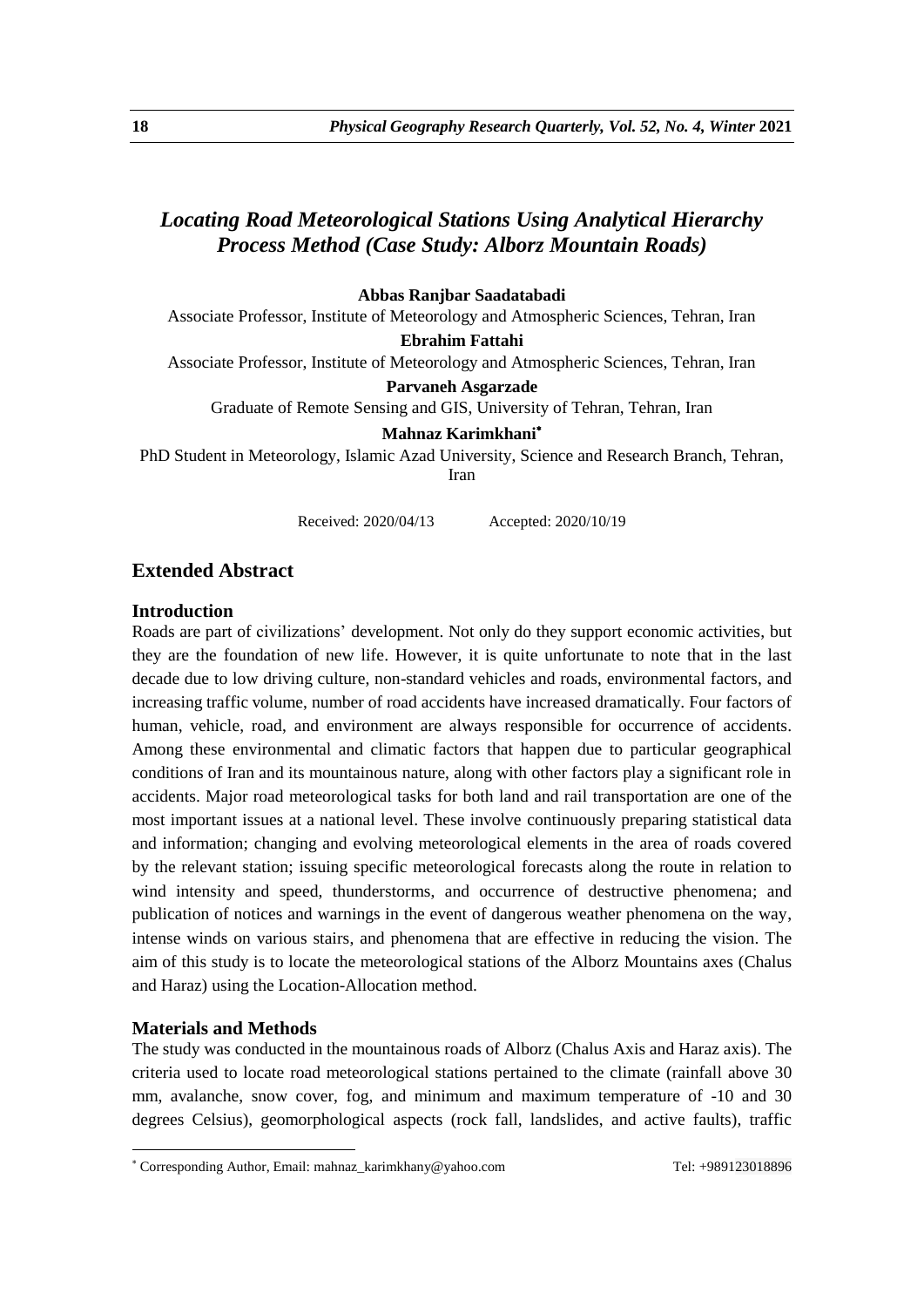# *Locating Road Meteorological Stations Using Analytical Hierarchy Process Method (Case Study: Alborz Mountain Roads)*

### **Abbas Ranjbar Saadatabadi**

Associate Professor, Institute of Meteorology and Atmospheric Sciences, Tehran, Iran

**Ebrahim Fattahi**

Associate Professor, Institute of Meteorology and Atmospheric Sciences, Tehran, Iran

**Parvaneh Asgarzade**

Graduate of Remote Sensing and GIS, University of Tehran, Tehran, Iran

**Mahnaz Karimkhani**

PhD Student in Meteorology, Islamic Azad University, Science and Research Branch, Tehran,

Iran

Received: 2020/04/13 Accepted: 2020/10/19

# **Extended Abstract**

### **Introduction**

Roads are part of civilizations' development. Not only do they support economic activities, but they are the foundation of new life. However, it is quite unfortunate to note that in the last decade due to low driving culture, non-standard vehicles and roads, environmental factors, and increasing traffic volume, number of road accidents have increased dramatically. Four factors of human, vehicle, road, and environment are always responsible for occurrence of accidents. Among these environmental and climatic factors that happen due to particular geographical conditions of Iran and its mountainous nature, along with other factors play a significant role in accidents. Major road meteorological tasks for both land and rail transportation are one of the most important issues at a national level. These involve continuously preparing statistical data and information; changing and evolving meteorological elements in the area of roads covered by the relevant station; issuing specific meteorological forecasts along the route in relation to wind intensity and speed, thunderstorms, and occurrence of destructive phenomena; and publication of notices and warnings in the event of dangerous weather phenomena on the way, intense winds on various stairs, and phenomena that are effective in reducing the vision. The aim of this study is to locate the meteorological stations of the Alborz Mountains axes (Chalus and Haraz) using the Location-Allocation method.

### **Materials and Methods**

1

The study was conducted in the mountainous roads of Alborz (Chalus Axis and Haraz axis). The criteria used to locate road meteorological stations pertained to the climate (rainfall above 30 mm, avalanche, snow cover, fog, and minimum and maximum temperature of -10 and 30 degrees Celsius), geomorphological aspects (rock fall, landslides, and active faults), traffic

Corresponding Author, Email: mahnaz\_karimkhany@yahoo.com Tel: +989123018896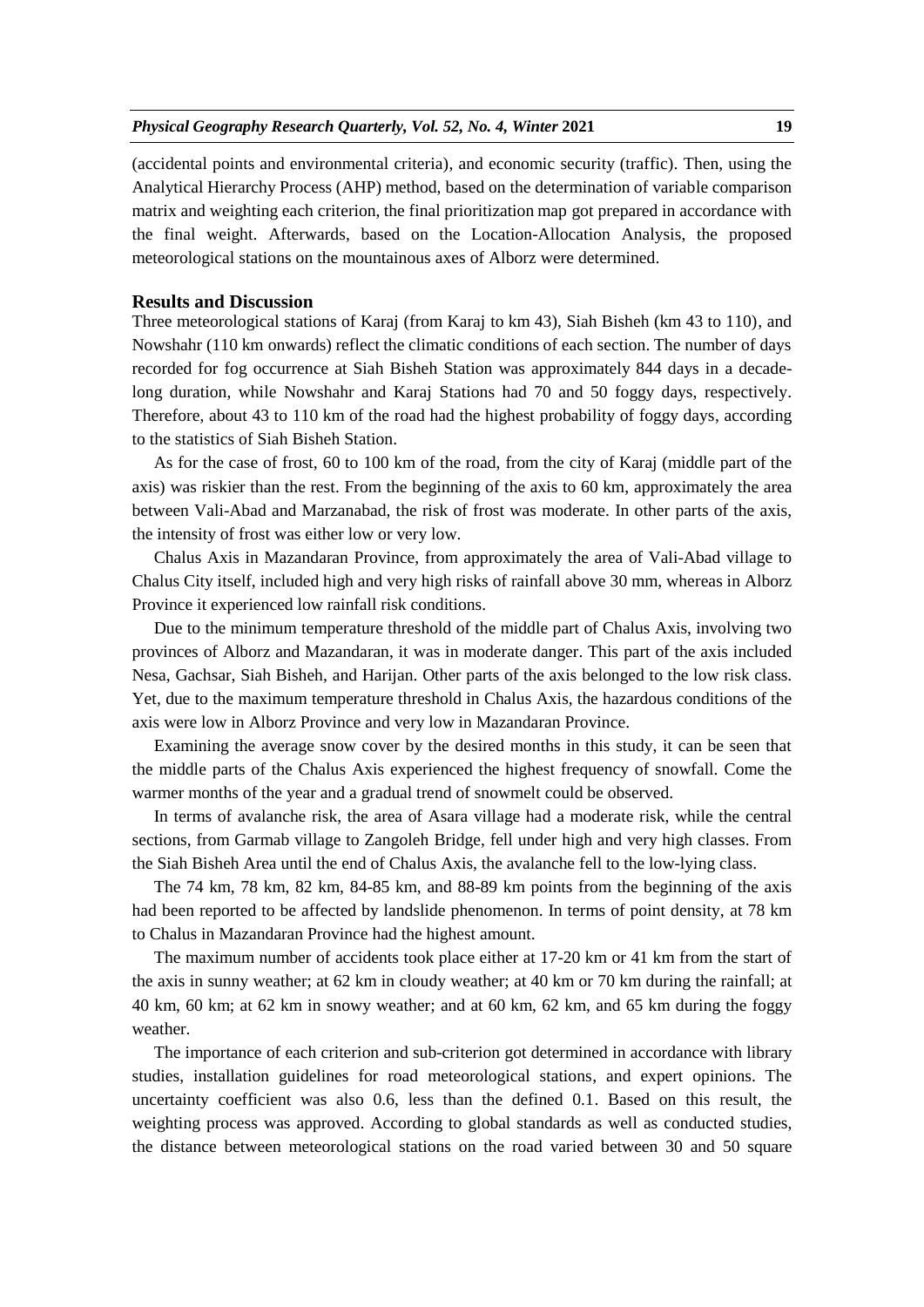(accidental points and environmental criteria), and economic security (traffic). Then, using the Analytical Hierarchy Process (AHP) method, based on the determination of variable comparison matrix and weighting each criterion, the final prioritization map got prepared in accordance with the final weight. Afterwards, based on the Location-Allocation Analysis, the proposed meteorological stations on the mountainous axes of Alborz were determined.

### **Results and Discussion**

Three meteorological stations of Karaj (from Karaj to km 43), Siah Bisheh (km 43 to 110), and Nowshahr (110 km onwards) reflect the climatic conditions of each section. The number of days recorded for fog occurrence at Siah Bisheh Station was approximately 844 days in a decadelong duration, while Nowshahr and Karaj Stations had 70 and 50 foggy days, respectively. Therefore, about 43 to 110 km of the road had the highest probability of foggy days, according to the statistics of Siah Bisheh Station.

As for the case of frost, 60 to 100 km of the road, from the city of Karaj (middle part of the axis) was riskier than the rest. From the beginning of the axis to 60 km, approximately the area between Vali-Abad and Marzanabad, the risk of frost was moderate. In other parts of the axis, the intensity of frost was either low or very low.

Chalus Axis in Mazandaran Province, from approximately the area of Vali-Abad village to Chalus City itself, included high and very high risks of rainfall above 30 mm, whereas in Alborz Province it experienced low rainfall risk conditions.

Due to the minimum temperature threshold of the middle part of Chalus Axis, involving two provinces of Alborz and Mazandaran, it was in moderate danger. This part of the axis included Nesa, Gachsar, Siah Bisheh, and Harijan. Other parts of the axis belonged to the low risk class. Yet, due to the maximum temperature threshold in Chalus Axis, the hazardous conditions of the axis were low in Alborz Province and very low in Mazandaran Province.

Examining the average snow cover by the desired months in this study, it can be seen that the middle parts of the Chalus Axis experienced the highest frequency of snowfall. Come the warmer months of the year and a gradual trend of snowmelt could be observed.

In terms of avalanche risk, the area of Asara village had a moderate risk, while the central sections, from Garmab village to Zangoleh Bridge, fell under high and very high classes. From the Siah Bisheh Area until the end of Chalus Axis, the avalanche fell to the low-lying class.

The 74 km, 78 km, 82 km, 84-85 km, and 88-89 km points from the beginning of the axis had been reported to be affected by landslide phenomenon. In terms of point density, at 78 km to Chalus in Mazandaran Province had the highest amount.

The maximum number of accidents took place either at 17-20 km or 41 km from the start of the axis in sunny weather; at 62 km in cloudy weather; at 40 km or 70 km during the rainfall; at 40 km, 60 km; at 62 km in snowy weather; and at 60 km, 62 km, and 65 km during the foggy weather.

The importance of each criterion and sub-criterion got determined in accordance with library studies, installation guidelines for road meteorological stations, and expert opinions. The uncertainty coefficient was also 0.6, less than the defined 0.1. Based on this result, the weighting process was approved. According to global standards as well as conducted studies, the distance between meteorological stations on the road varied between 30 and 50 square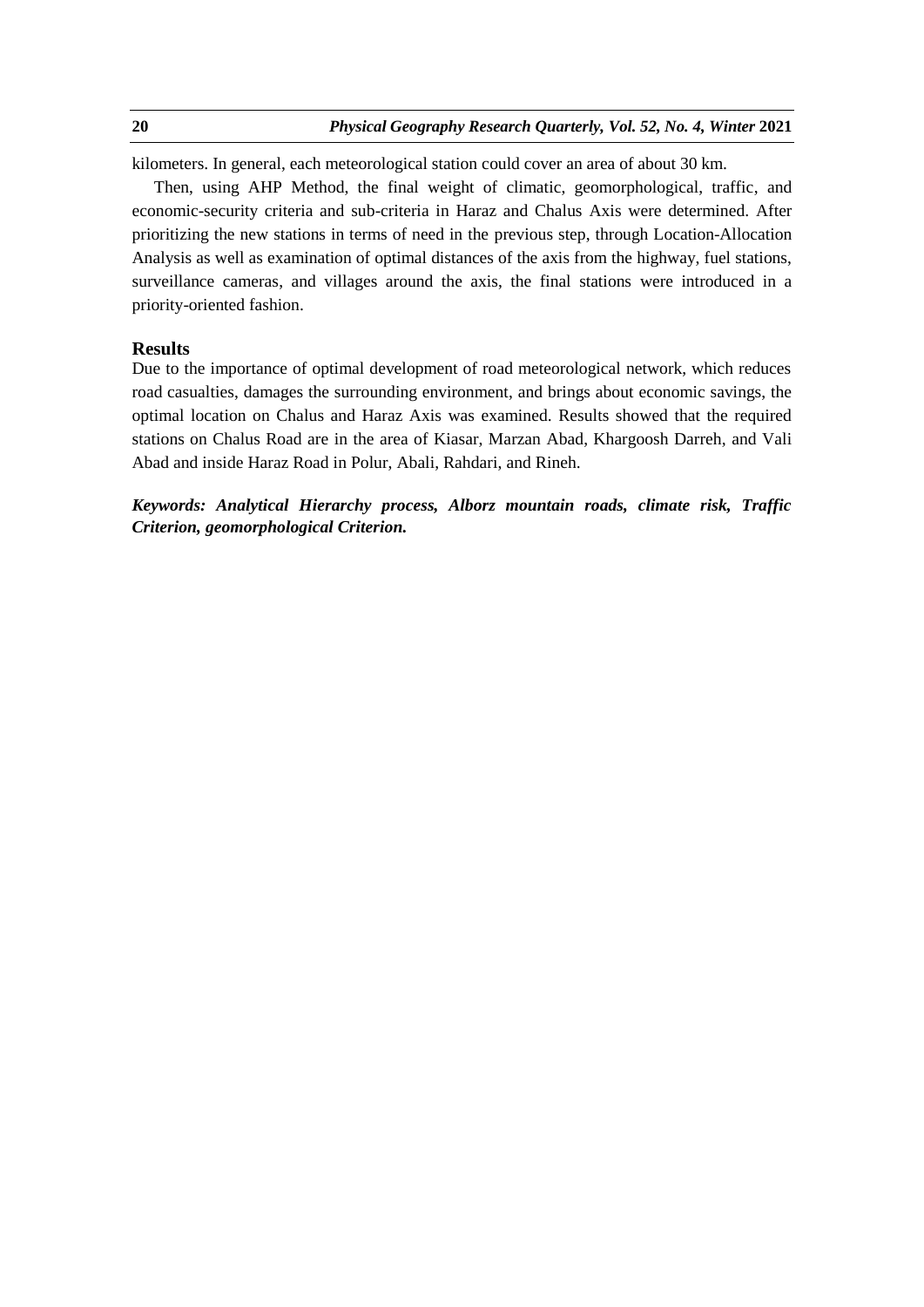kilometers. In general, each meteorological station could cover an area of about 30 km.

Then, using AHP Method, the final weight of climatic, geomorphological, traffic, and economic-security criteria and sub-criteria in Haraz and Chalus Axis were determined. After prioritizing the new stations in terms of need in the previous step, through Location-Allocation Analysis as well as examination of optimal distances of the axis from the highway, fuel stations, surveillance cameras, and villages around the axis, the final stations were introduced in a priority-oriented fashion.

# **Results**

Due to the importance of optimal development of road meteorological network, which reduces road casualties, damages the surrounding environment, and brings about economic savings, the optimal location on Chalus and Haraz Axis was examined. Results showed that the required stations on Chalus Road are in the area of Kiasar, Marzan Abad, Khargoosh Darreh, and Vali Abad and inside Haraz Road in Polur, Abali, Rahdari, and Rineh.

*Keywords: Analytical Hierarchy process, Alborz mountain roads, climate risk, Traffic Criterion, geomorphological Criterion.*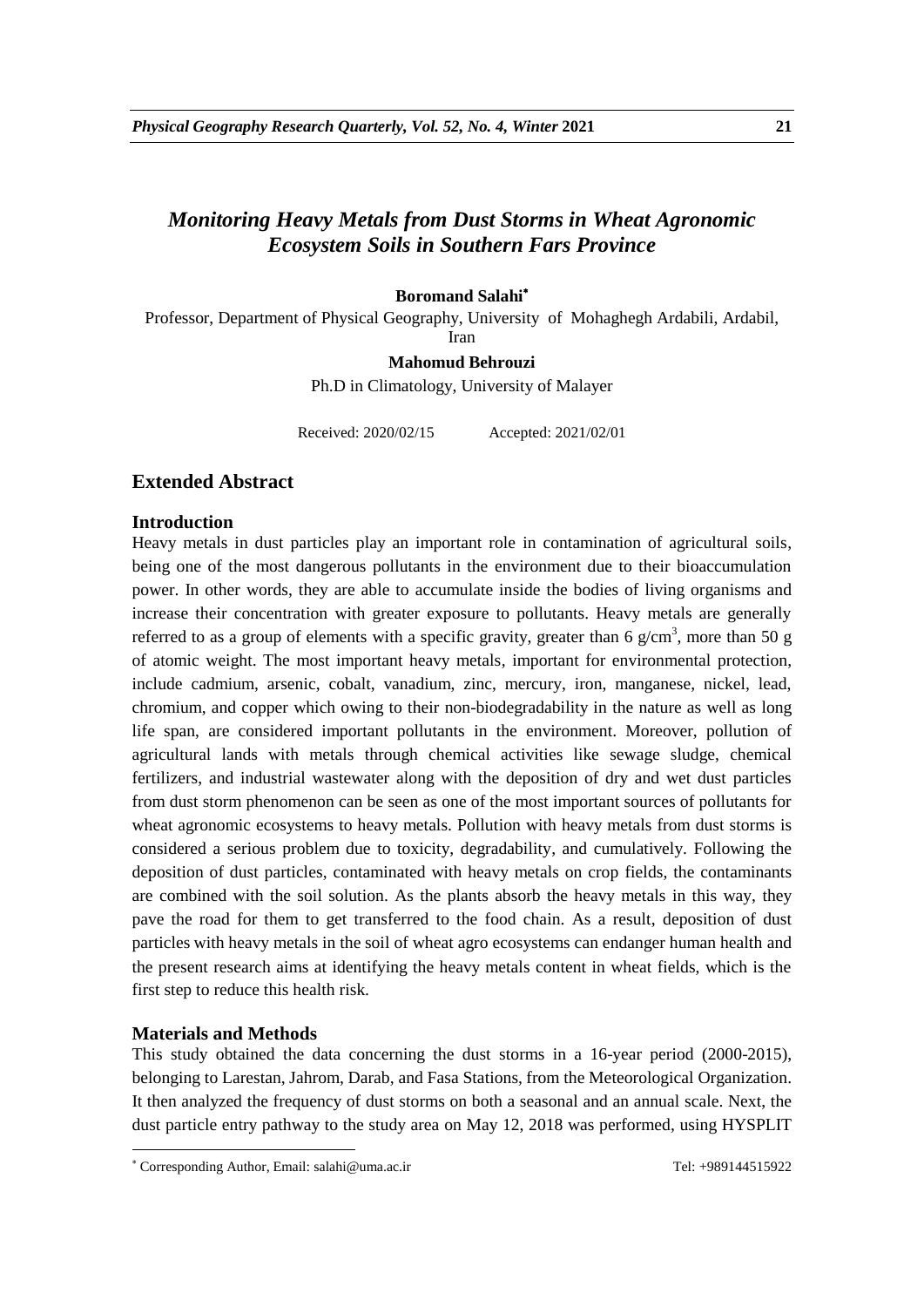# *Monitoring Heavy Metals from Dust Storms in Wheat Agronomic Ecosystem Soils in Southern Fars Province*

# **Boromand Salahi**

Professor, Department of Physical Geography, University of Mohaghegh Ardabili, Ardabil,

Iran

#### **Mahomud Behrouzi**

Ph.D in Climatology, University of Malayer

Received: 2020/02/15 Accepted: 2021/02/01

# **Extended Abstract**

### **Introduction**

Heavy metals in dust particles play an important role in contamination of agricultural soils, being one of the most dangerous pollutants in the environment due to their bioaccumulation power. In other words, they are able to accumulate inside the bodies of living organisms and increase their concentration with greater exposure to pollutants. Heavy metals are generally referred to as a group of elements with a specific gravity, greater than 6  $g/cm<sup>3</sup>$ , more than 50  $g$ of atomic weight. The most important heavy metals, important for environmental protection, include cadmium, arsenic, cobalt, vanadium, zinc, mercury, iron, manganese, nickel, lead, chromium, and copper which owing to their non-biodegradability in the nature as well as long life span, are considered important pollutants in the environment. Moreover, pollution of agricultural lands with metals through chemical activities like sewage sludge, chemical fertilizers, and industrial wastewater along with the deposition of dry and wet dust particles from dust storm phenomenon can be seen as one of the most important sources of pollutants for wheat agronomic ecosystems to heavy metals. Pollution with heavy metals from dust storms is considered a serious problem due to toxicity, degradability, and cumulatively. Following the deposition of dust particles, contaminated with heavy metals on crop fields, the contaminants are combined with the soil solution. As the plants absorb the heavy metals in this way, they pave the road for them to get transferred to the food chain. As a result, deposition of dust particles with heavy metals in the soil of wheat agro ecosystems can endanger human health and the present research aims at identifying the heavy metals content in wheat fields, which is the first step to reduce this health risk.

### **Materials and Methods**

1

This study obtained the data concerning the dust storms in a 16-year period (2000-2015), belonging to Larestan, Jahrom, Darab, and Fasa Stations, from the Meteorological Organization. It then analyzed the frequency of dust storms on both a seasonal and an annual scale. Next, the dust particle entry pathway to the study area on May 12, 2018 was performed, using HYSPLIT

Corresponding Author, Email: salahi@uma.ac.ir Tel: +989144515922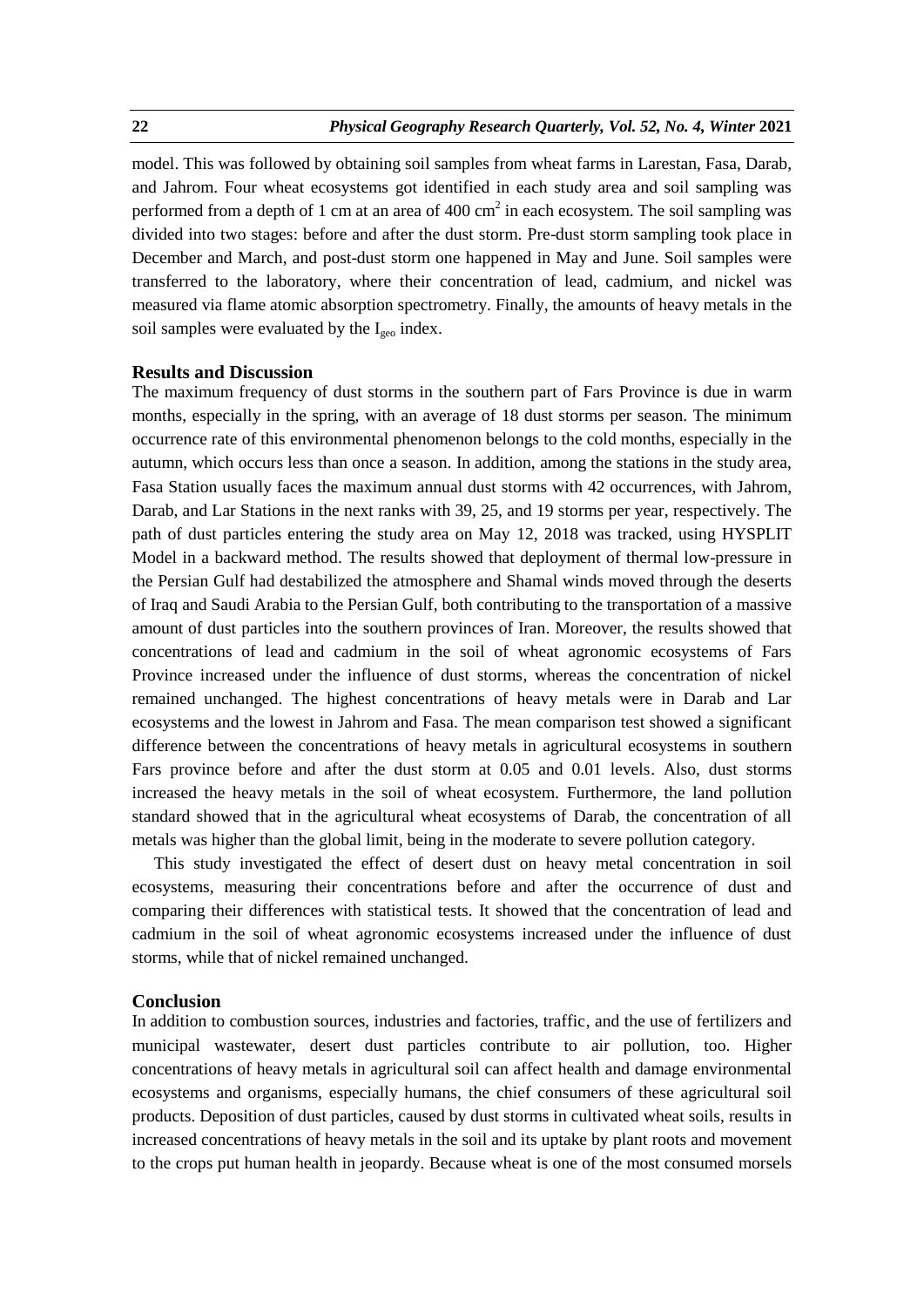model. This was followed by obtaining soil samples from wheat farms in Larestan, Fasa, Darab, and Jahrom. Four wheat ecosystems got identified in each study area and soil sampling was performed from a depth of 1 cm at an area of 400 cm<sup>2</sup> in each ecosystem. The soil sampling was divided into two stages: before and after the dust storm. Pre-dust storm sampling took place in December and March, and post-dust storm one happened in May and June. Soil samples were transferred to the laboratory, where their concentration of lead, cadmium, and nickel was measured via flame atomic absorption spectrometry. Finally, the amounts of heavy metals in the soil samples were evaluated by the  $I_{\text{geo}}$  index.

## **Results and Discussion**

The maximum frequency of dust storms in the southern part of Fars Province is due in warm months, especially in the spring, with an average of 18 dust storms per season. The minimum occurrence rate of this environmental phenomenon belongs to the cold months, especially in the autumn, which occurs less than once a season. In addition, among the stations in the study area, Fasa Station usually faces the maximum annual dust storms with 42 occurrences, with Jahrom, Darab, and Lar Stations in the next ranks with 39, 25, and 19 storms per year, respectively. The path of dust particles entering the study area on May 12, 2018 was tracked, using HYSPLIT Model in a backward method. The results showed that deployment of thermal low-pressure in the Persian Gulf had destabilized the atmosphere and Shamal winds moved through the deserts of Iraq and Saudi Arabia to the Persian Gulf, both contributing to the transportation of a massive amount of dust particles into the southern provinces of Iran. Moreover, the results showed that concentrations of lead and cadmium in the soil of wheat agronomic ecosystems of Fars Province increased under the influence of dust storms, whereas the concentration of nickel remained unchanged. The highest concentrations of heavy metals were in Darab and Lar ecosystems and the lowest in Jahrom and Fasa. The mean comparison test showed a significant difference between the concentrations of heavy metals in agricultural ecosystems in southern Fars province before and after the dust storm at 0.05 and 0.01 levels. Also, dust storms increased the heavy metals in the soil of wheat ecosystem. Furthermore, the land pollution standard showed that in the agricultural wheat ecosystems of Darab, the concentration of all metals was higher than the global limit, being in the moderate to severe pollution category.

This study investigated the effect of desert dust on heavy metal concentration in soil ecosystems, measuring their concentrations before and after the occurrence of dust and comparing their differences with statistical tests. It showed that the concentration of lead and cadmium in the soil of wheat agronomic ecosystems increased under the influence of dust storms, while that of nickel remained unchanged.

### **Conclusion**

In addition to combustion sources, industries and factories, traffic, and the use of fertilizers and municipal wastewater, desert dust particles contribute to air pollution, too. Higher concentrations of heavy metals in agricultural soil can affect health and damage environmental ecosystems and organisms, especially humans, the chief consumers of these agricultural soil products. Deposition of dust particles, caused by dust storms in cultivated wheat soils, results in increased concentrations of heavy metals in the soil and its uptake by plant roots and movement to the crops put human health in jeopardy. Because wheat is one of the most consumed morsels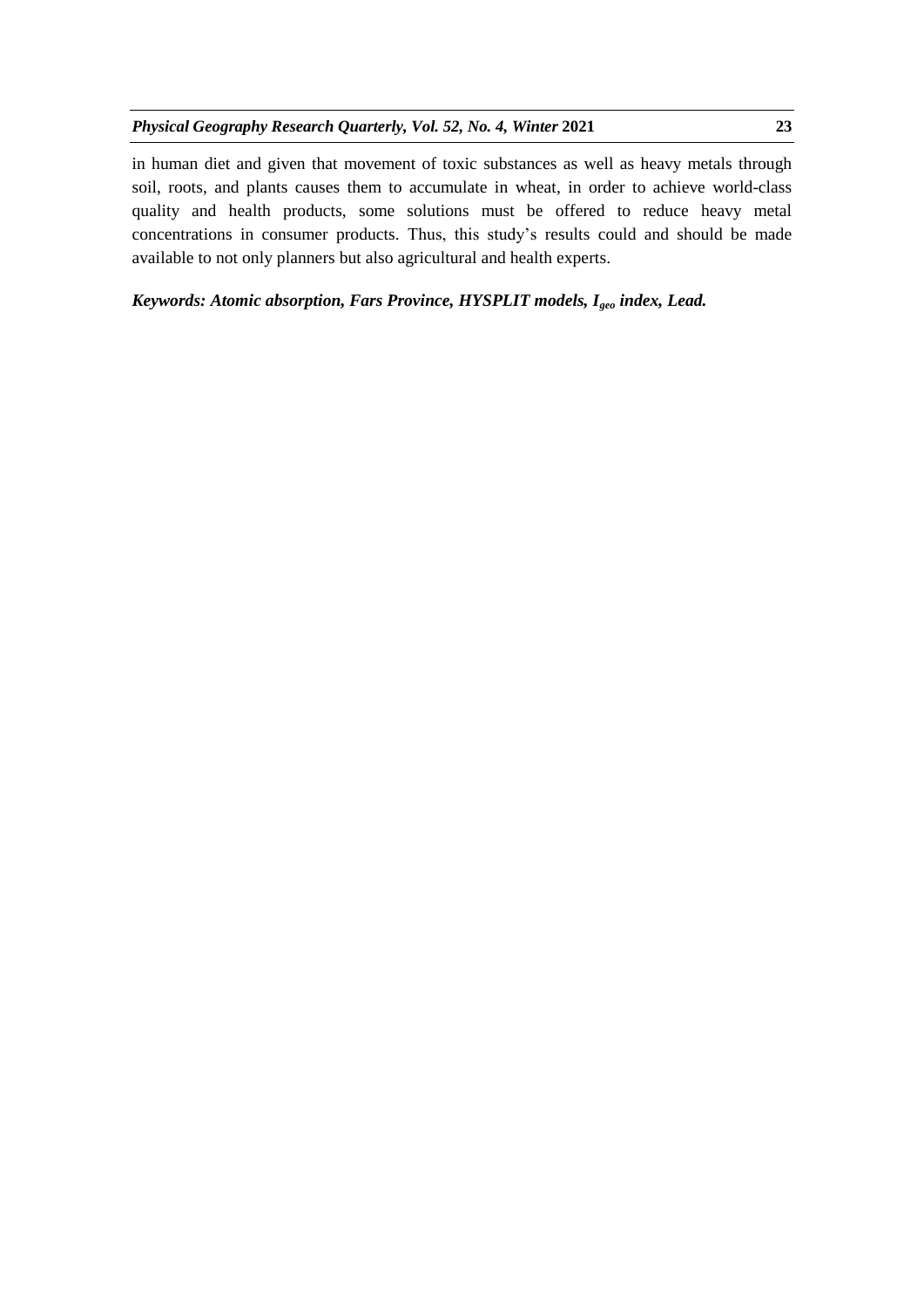in human diet and given that movement of toxic substances as well as heavy metals through soil, roots, and plants causes them to accumulate in wheat, in order to achieve world-class quality and health products, some solutions must be offered to reduce heavy metal concentrations in consumer products. Thus, this study's results could and should be made available to not only planners but also agricultural and health experts.

# *Keywords: Atomic absorption, Fars Province, HYSPLIT models, Igeo index, Lead.*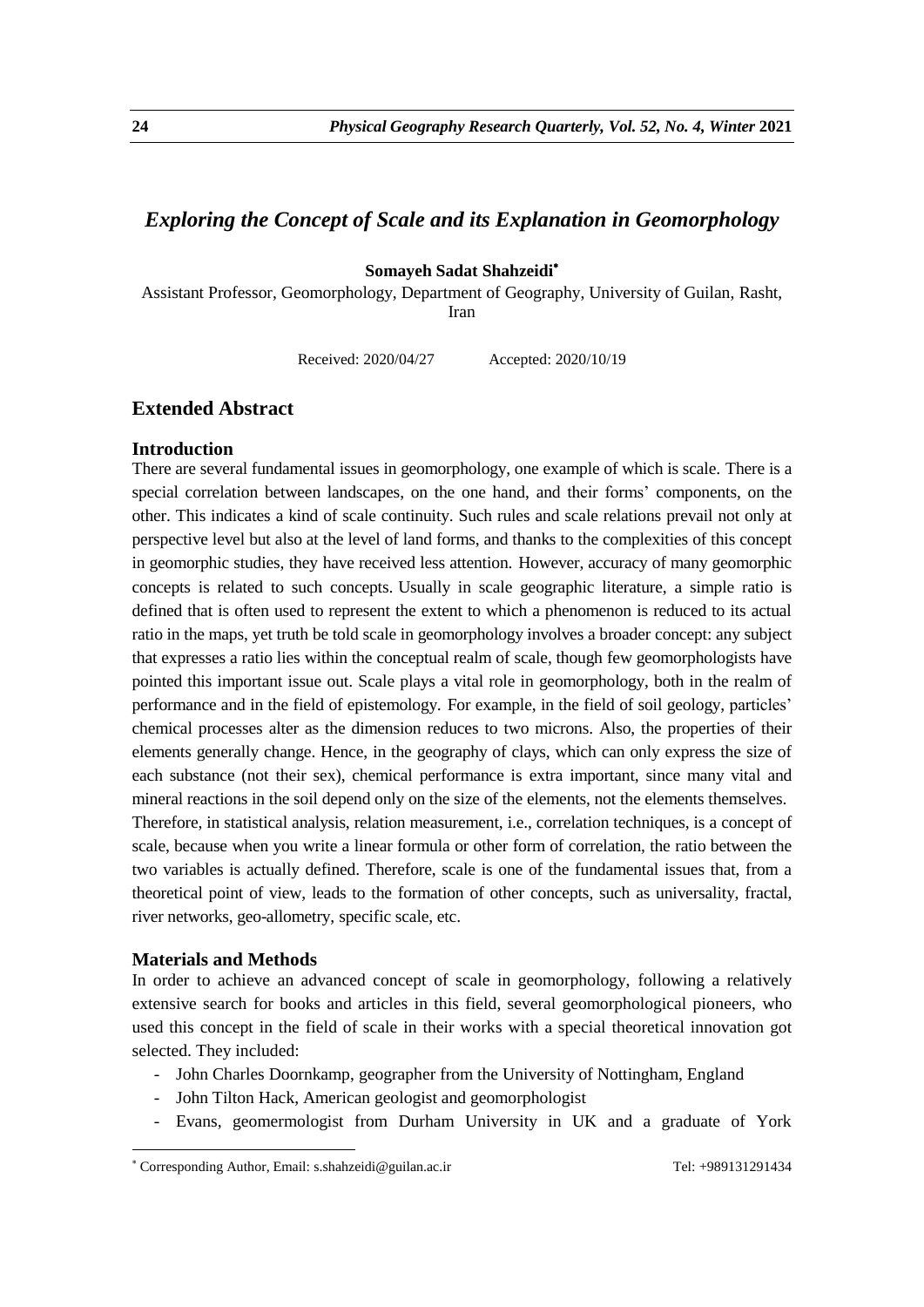# *Exploring the Concept of Scale and its Explanation in Geomorphology*

## **Somayeh Sadat Shahzeidi**

Assistant Professor, Geomorphology, Department of Geography, University of Guilan, Rasht, Iran

Received: 2020/04/27 Accepted: 2020/10/19

# **Extended Abstract**

### **Introduction**

There are several fundamental issues in geomorphology, one example of which is scale. There is a special correlation between landscapes, on the one hand, and their forms' components, on the other. This indicates a kind of scale continuity. Such rules and scale relations prevail not only at perspective level but also at the level of land forms, and thanks to the complexities of this concept in geomorphic studies, they have received less attention. However, accuracy of many geomorphic concepts is related to such concepts. Usually in scale geographic literature, a simple ratio is defined that is often used to represent the extent to which a phenomenon is reduced to its actual ratio in the maps, yet truth be told scale in geomorphology involves a broader concept: any subject that expresses a ratio lies within the conceptual realm of scale, though few geomorphologists have pointed this important issue out. Scale plays a vital role in geomorphology, both in the realm of performance and in the field of epistemology. For example, in the field of soil geology, particles' chemical processes alter as the dimension reduces to two microns. Also, the properties of their elements generally change. Hence, in the geography of clays, which can only express the size of each substance (not their sex), chemical performance is extra important, since many vital and mineral reactions in the soil depend only on the size of the elements, not the elements themselves. Therefore, in statistical analysis, relation measurement, i.e., correlation techniques, is a concept of scale, because when you write a linear formula or other form of correlation, the ratio between the two variables is actually defined. Therefore, scale is one of the fundamental issues that, from a theoretical point of view, leads to the formation of other concepts, such as universality, fractal, river networks, geo-allometry, specific scale, etc.

### **Materials and Methods**

1

In order to achieve an advanced concept of scale in geomorphology, following a relatively extensive search for books and articles in this field, several geomorphological pioneers, who used this concept in the field of scale in their works with a special theoretical innovation got selected. They included:

- John Charles Doornkamp, geographer from the University of Nottingham, England
- John Tilton Hack, American geologist and geomorphologist
- Evans, geomermologist from Durham University in UK and a graduate of York

Corresponding Author, Email: s.shahzeidi@guilan.ac.ir Tel: +989131291434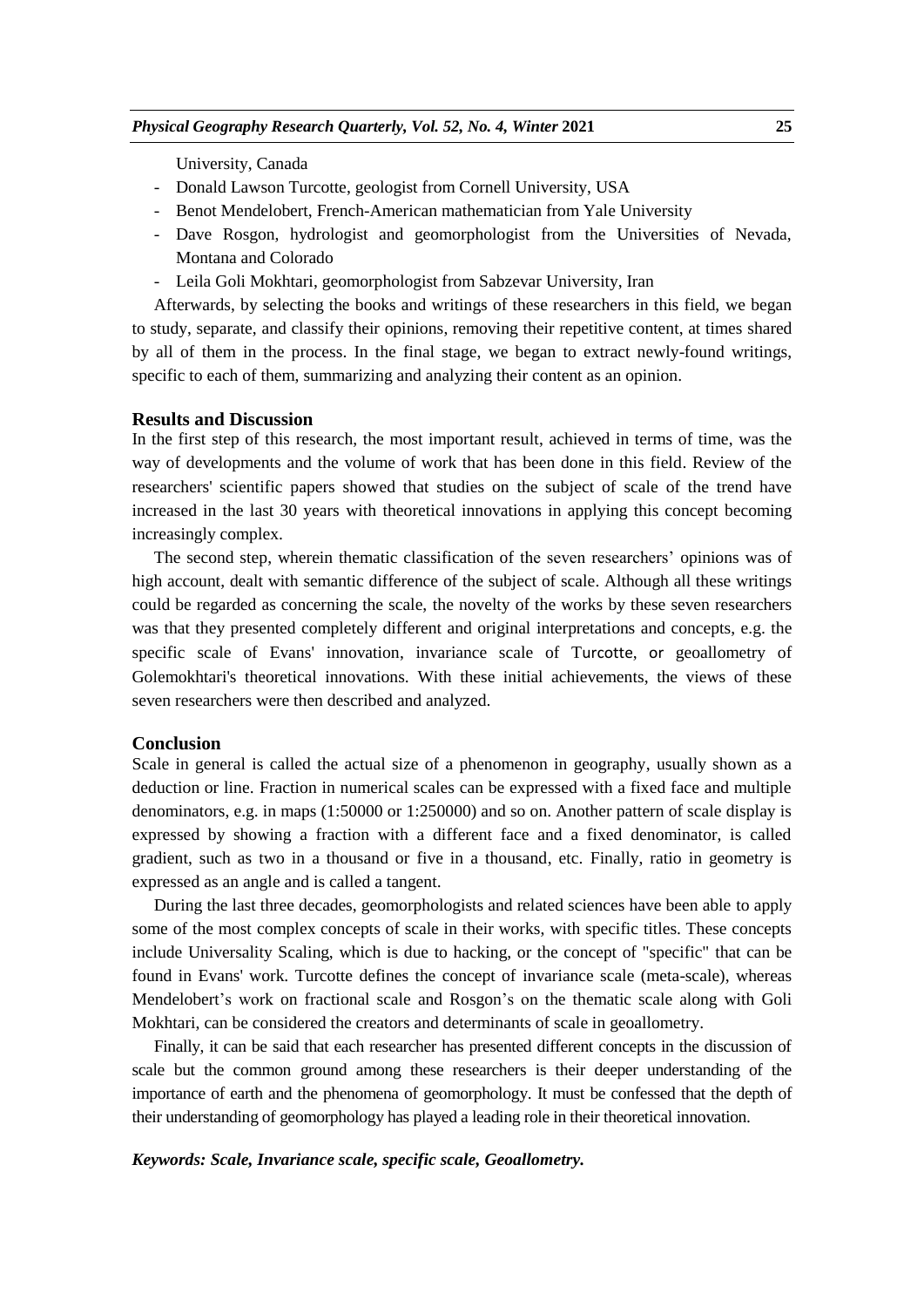University, Canada

- Donald Lawson Turcotte, geologist from Cornell University, USA
- Benot Mendelobert, French-American mathematician from Yale University
- Dave Rosgon, hydrologist and geomorphologist from the Universities of Nevada, Montana and Colorado
- Leila Goli Mokhtari, geomorphologist from Sabzevar University, Iran

Afterwards, by selecting the books and writings of these researchers in this field, we began to study, separate, and classify their opinions, removing their repetitive content, at times shared by all of them in the process. In the final stage, we began to extract newly-found writings, specific to each of them, summarizing and analyzing their content as an opinion.

### **Results and Discussion**

In the first step of this research, the most important result, achieved in terms of time, was the way of developments and the volume of work that has been done in this field. Review of the researchers' scientific papers showed that studies on the subject of scale of the trend have increased in the last 30 years with theoretical innovations in applying this concept becoming increasingly complex.

The second step, wherein thematic classification of the seven researchers' opinions was of high account, dealt with semantic difference of the subject of scale. Although all these writings could be regarded as concerning the scale, the novelty of the works by these seven researchers was that they presented completely different and original interpretations and concepts, e.g. the specific scale of Evans' innovation, invariance scale of Turcotte, or geoallometry of Golemokhtari's theoretical innovations. With these initial achievements, the views of these seven researchers were then described and analyzed.

## **Conclusion**

Scale in general is called the actual size of a phenomenon in geography, usually shown as a deduction or line. Fraction in numerical scales can be expressed with a fixed face and multiple denominators, e.g. in maps (1:50000 or 1:250000) and so on. Another pattern of scale display is expressed by showing a fraction with a different face and a fixed denominator, is called gradient, such as two in a thousand or five in a thousand, etc. Finally, ratio in geometry is expressed as an angle and is called a tangent.

During the last three decades, geomorphologists and related sciences have been able to apply some of the most complex concepts of scale in their works, with specific titles. These concepts include Universality Scaling, which is due to hacking, or the concept of "specific" that can be found in Evans' work. Turcotte defines the concept of invariance scale (meta-scale), whereas Mendelobert's work on fractional scale and Rosgon's on the thematic scale along with Goli Mokhtari, can be considered the creators and determinants of scale in geoallometry.

Finally, it can be said that each researcher has presented different concepts in the discussion of scale but the common ground among these researchers is their deeper understanding of the importance of earth and the phenomena of geomorphology. It must be confessed that the depth of their understanding of geomorphology has played a leading role in their theoretical innovation.

### *Keywords: Scale, Invariance scale, specific scale, Geoallometry.*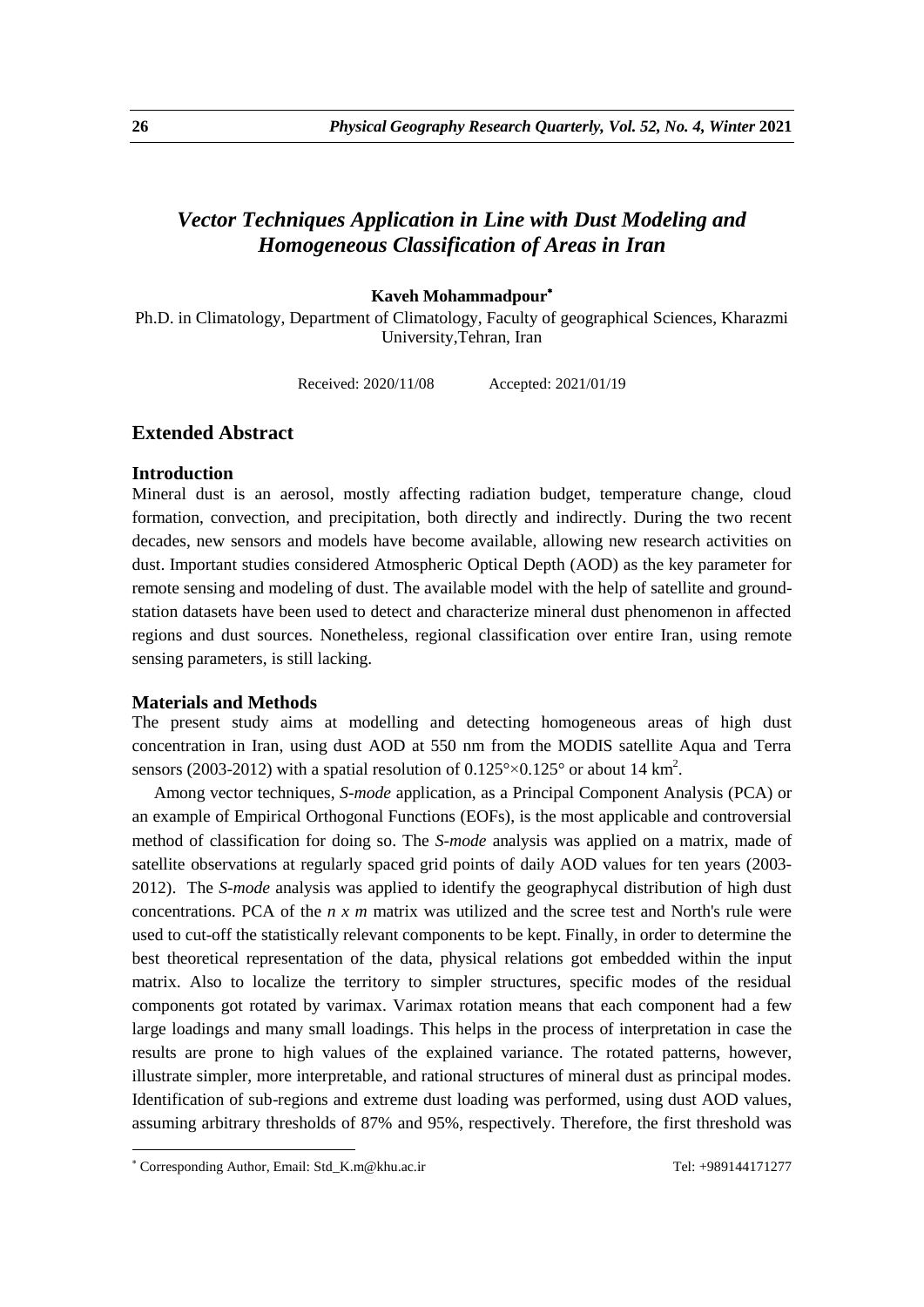# *Vector Techniques Application in Line with Dust Modeling and Homogeneous Classification of Areas in Iran*

# **Kaveh Mohammadpour**

Ph.D. in Climatology, Department of Climatology, Faculty of geographical Sciences, Kharazmi University,Tehran, Iran

Received: 2020/11/08 Accepted: 2021/01/19

# **Extended Abstract**

### **Introduction**

Mineral dust is an aerosol, mostly affecting radiation budget, temperature change, cloud formation, convection, and precipitation, both directly and indirectly. During the two recent decades, new sensors and models have become available, allowing new research activities on dust. Important studies considered Atmospheric Optical Depth (AOD) as the key parameter for remote sensing and modeling of dust. The available model with the help of satellite and groundstation datasets have been used to detect and characterize mineral dust phenomenon in affected regions and dust sources. Nonetheless, regional classification over entire Iran, using remote sensing parameters, is still lacking.

### **Materials and Methods**

The present study aims at modelling and detecting homogeneous areas of high dust concentration in Iran, using dust AOD at 550 nm from the MODIS satellite Aqua and Terra sensors (2003-2012) with a spatial resolution of  $0.125^{\circ} \times 0.125^{\circ}$  or about 14 km<sup>2</sup>.

Among vector techniques, *S-mode* application, as a Principal Component Analysis (PCA) or an example of Empirical Orthogonal Functions (EOFs), is the most applicable and controversial method of classification for doing so. The *S-mode* analysis was applied on a matrix, made of satellite observations at regularly spaced grid points of daily AOD values for ten years (2003- 2012). The *S-mode* analysis was applied to identify the geographycal distribution of high dust concentrations. PCA of the *n x m* matrix was utilized and the scree test and North's rule were used to cut-off the statistically relevant components to be kept. Finally, in order to determine the best theoretical representation of the data, physical relations got embedded within the input matrix. Also to localize the territory to simpler structures, specific modes of the residual components got rotated by varimax. Varimax rotation means that each component had a few large loadings and many small loadings. This helps in the process of interpretation in case the results are prone to high values of the explained variance. The rotated patterns, however, illustrate simpler, more interpretable, and rational structures of mineral dust as principal modes. Identification of sub-regions and extreme dust loading was performed, using dust AOD values, assuming arbitrary thresholds of 87% and 95%, respectively. Therefore, the first threshold was

1

<sup>\*</sup> Corresponding Author, Email: Std\_K.m@khu.ac.ir Tel: +989144171277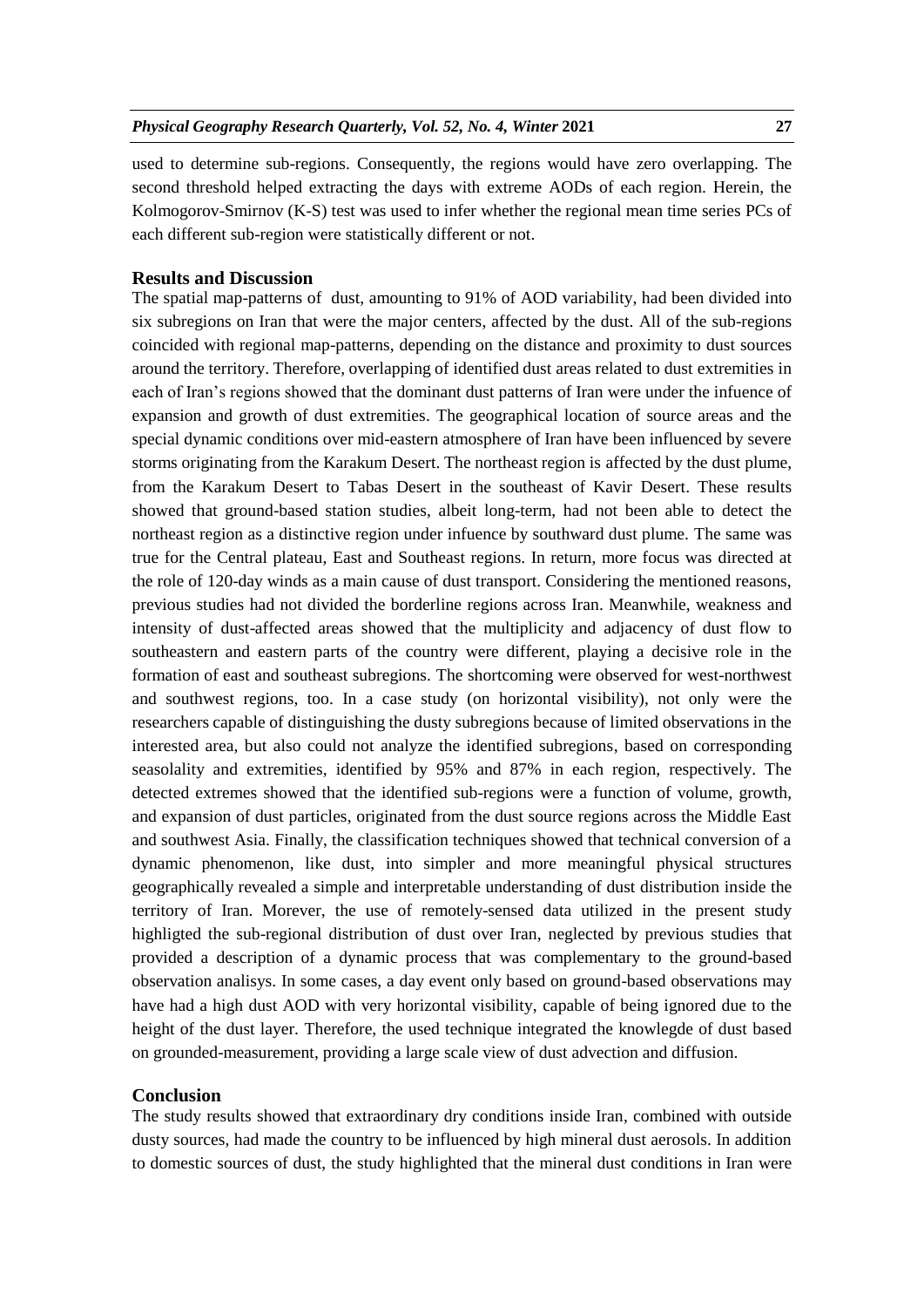used to determine sub-regions. Consequently, the regions would have zero overlapping. The second threshold helped extracting the days with extreme AODs of each region. Herein, the Kolmogorov-Smirnov (K-S) test was used to infer whether the regional mean time series PCs of each different sub-region were statistically different or not.

### **Results and Discussion**

The spatial map-patterns of dust, amounting to 91% of AOD variability, had been divided into six subregions on Iran that were the major centers, affected by the dust. All of the sub-regions coincided with regional map-patterns, depending on the distance and proximity to dust sources around the territory. Therefore, overlapping of identified dust areas related to dust extremities in each of Iran's regions showed that the dominant dust patterns of Iran were under the infuence of expansion and growth of dust extremities. The geographical location of source areas and the special dynamic conditions over mid-eastern atmosphere of Iran have been influenced by severe storms originating from the Karakum Desert. The northeast region is affected by the dust plume, from the Karakum Desert to Tabas Desert in the southeast of Kavir Desert. These results showed that ground-based station studies, albeit long-term, had not been able to detect the northeast region as a distinctive region under infuence by southward dust plume. The same was true for the Central plateau, East and Southeast regions. In return, more focus was directed at the role of 120-day winds as a main cause of dust transport. Considering the mentioned reasons, previous studies had not divided the borderline regions across Iran. Meanwhile, weakness and intensity of dust-affected areas showed that the multiplicity and adjacency of dust flow to southeastern and eastern parts of the country were different, playing a decisive role in the formation of east and southeast subregions. The shortcoming were observed for west-northwest and southwest regions, too. In a case study (on horizontal visibility), not only were the researchers capable of distinguishing the dusty subregions because of limited observations in the interested area, but also could not analyze the identified subregions, based on corresponding seasolality and extremities, identified by 95% and 87% in each region, respectively. The detected extremes showed that the identified sub-regions were a function of volume, growth, and expansion of dust particles, originated from the dust source regions across the Middle East and southwest Asia. Finally, the classification techniques showed that technical conversion of a dynamic phenomenon, like dust, into simpler and more meaningful physical structures geographically revealed a simple and interpretable understanding of dust distribution inside the territory of Iran. Morever, the use of remotely-sensed data utilized in the present study highligted the sub-regional distribution of dust over Iran, neglected by previous studies that provided a description of a dynamic process that was complementary to the ground-based observation analisys. In some cases, a day event only based on ground-based observations may have had a high dust AOD with very horizontal visibility, capable of being ignored due to the height of the dust layer. Therefore, the used technique integrated the knowlegde of dust based on grounded-measurement, providing a large scale view of dust advection and diffusion.

## **Conclusion**

The study results showed that extraordinary dry conditions inside Iran, combined with outside dusty sources, had made the country to be influenced by high mineral dust aerosols. In addition to domestic sources of dust, the study highlighted that the mineral dust conditions in Iran were